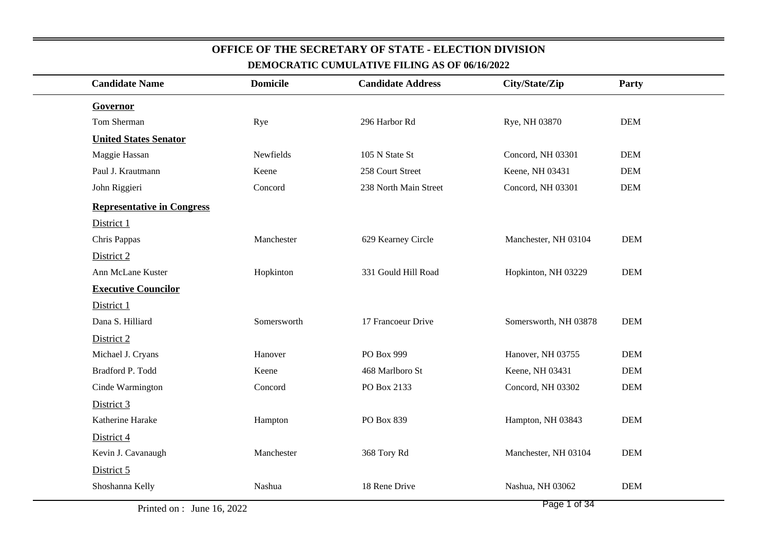| <b>Candidate Name</b>             | <b>Domicile</b> | <b>Candidate Address</b> | City/State/Zip        | Party      |
|-----------------------------------|-----------------|--------------------------|-----------------------|------------|
| Governor                          |                 |                          |                       |            |
| Tom Sherman                       | Rye             | 296 Harbor Rd            | Rye, NH 03870         | <b>DEM</b> |
| <b>United States Senator</b>      |                 |                          |                       |            |
| Maggie Hassan                     | Newfields       | 105 N State St           | Concord, NH 03301     | <b>DEM</b> |
| Paul J. Krautmann                 | Keene           | 258 Court Street         | Keene, NH 03431       | <b>DEM</b> |
| John Riggieri                     | Concord         | 238 North Main Street    | Concord, NH 03301     | <b>DEM</b> |
| <b>Representative in Congress</b> |                 |                          |                       |            |
| District 1                        |                 |                          |                       |            |
| Chris Pappas                      | Manchester      | 629 Kearney Circle       | Manchester, NH 03104  | <b>DEM</b> |
| District 2                        |                 |                          |                       |            |
| Ann McLane Kuster                 | Hopkinton       | 331 Gould Hill Road      | Hopkinton, NH 03229   | <b>DEM</b> |
| <b>Executive Councilor</b>        |                 |                          |                       |            |
| District 1                        |                 |                          |                       |            |
| Dana S. Hilliard                  | Somersworth     | 17 Francoeur Drive       | Somersworth, NH 03878 | <b>DEM</b> |
| District 2                        |                 |                          |                       |            |
| Michael J. Cryans                 | Hanover         | PO Box 999               | Hanover, NH 03755     | <b>DEM</b> |
| Bradford P. Todd                  | Keene           | 468 Marlboro St          | Keene, NH 03431       | <b>DEM</b> |
| Cinde Warmington                  | Concord         | PO Box 2133              | Concord, NH 03302     | $DEM$      |
| District 3                        |                 |                          |                       |            |
| Katherine Harake                  | Hampton         | PO Box 839               | Hampton, NH 03843     | <b>DEM</b> |
| District 4                        |                 |                          |                       |            |
| Kevin J. Cavanaugh                | Manchester      | 368 Tory Rd              | Manchester, NH 03104  | <b>DEM</b> |
| District 5                        |                 |                          |                       |            |
| Shoshanna Kelly                   | Nashua          | 18 Rene Drive            | Nashua, NH 03062      | <b>DEM</b> |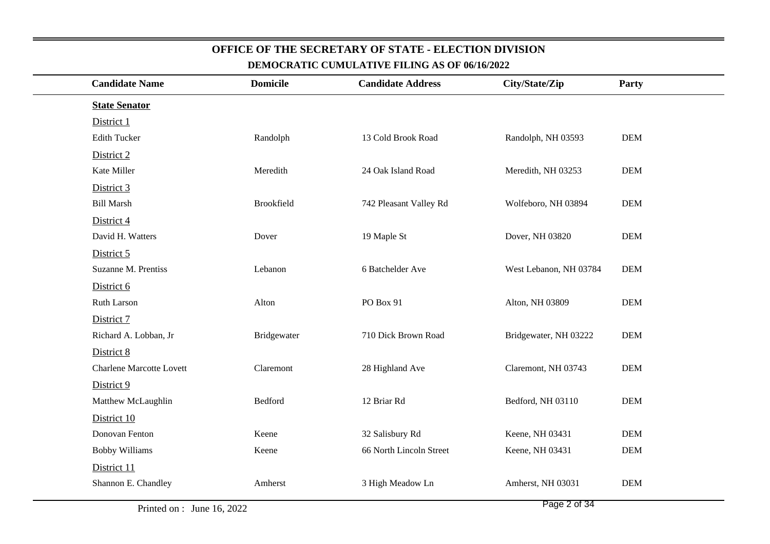| <b>Candidate Name</b>           |             |                         | City/State/Zip           | Party      |
|---------------------------------|-------------|-------------------------|--------------------------|------------|
| <b>State Senator</b>            |             |                         |                          |            |
| District 1                      |             |                         |                          |            |
| <b>Edith Tucker</b>             | Randolph    | 13 Cold Brook Road      | Randolph, NH 03593       | $DEM$      |
| District 2                      |             |                         |                          |            |
| Kate Miller                     | Meredith    | 24 Oak Island Road      | Meredith, NH 03253       | $DEM$      |
| District 3                      |             |                         |                          |            |
| <b>Bill Marsh</b>               | Brookfield  | 742 Pleasant Valley Rd  | Wolfeboro, NH 03894      | <b>DEM</b> |
| District 4                      |             |                         |                          |            |
| David H. Watters                | Dover       | 19 Maple St             | Dover, NH 03820          | <b>DEM</b> |
| District 5                      |             |                         |                          |            |
| Suzanne M. Prentiss             | Lebanon     | 6 Batchelder Ave        | West Lebanon, NH 03784   | <b>DEM</b> |
| District 6                      |             |                         |                          |            |
| Ruth Larson                     | Alton       | PO Box 91               | Alton, NH 03809          | <b>DEM</b> |
| District 7                      |             |                         |                          |            |
| Richard A. Lobban, Jr           | Bridgewater | 710 Dick Brown Road     | Bridgewater, NH 03222    | <b>DEM</b> |
| District 8                      |             |                         |                          |            |
| <b>Charlene Marcotte Lovett</b> | Claremont   | 28 Highland Ave         | Claremont, NH 03743      | <b>DEM</b> |
| District 9                      |             |                         |                          |            |
| Matthew McLaughlin              | Bedford     | 12 Briar Rd             | Bedford, NH 03110        | <b>DEM</b> |
| District 10                     |             |                         |                          |            |
| Donovan Fenton                  | Keene       | 32 Salisbury Rd         | Keene, NH 03431          | <b>DEM</b> |
| <b>Bobby Williams</b>           | Keene       | 66 North Lincoln Street | Keene, NH 03431          | <b>DEM</b> |
| District 11                     |             |                         |                          |            |
| Shannon E. Chandley             | Amherst     | 3 High Meadow Ln        | Amherst, NH 03031        | <b>DEM</b> |
|                                 |             | <b>Domicile</b>         | <b>Candidate Address</b> |            |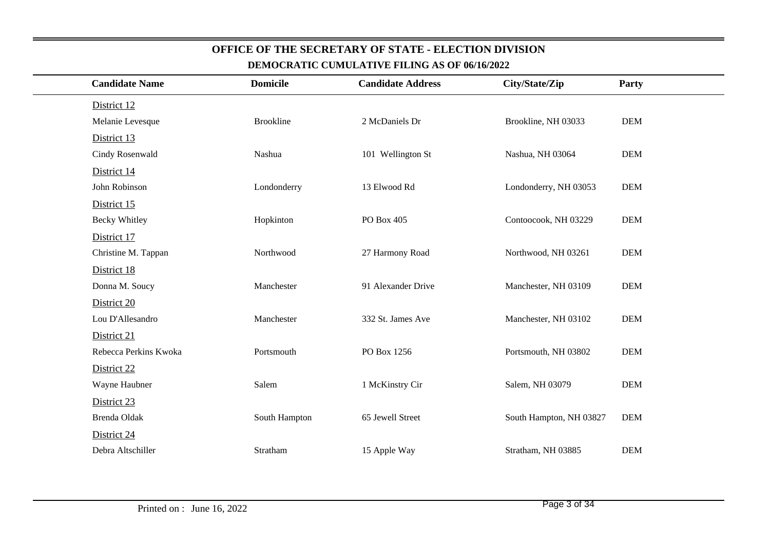| <b>Candidate Name</b> | <b>Domicile</b>  | <b>Candidate Address</b> | City/State/Zip          | Party      |
|-----------------------|------------------|--------------------------|-------------------------|------------|
| District 12           |                  |                          |                         |            |
| Melanie Levesque      | <b>Brookline</b> | 2 McDaniels Dr           | Brookline, NH 03033     | <b>DEM</b> |
| District 13           |                  |                          |                         |            |
| Cindy Rosenwald       | Nashua           | 101 Wellington St        | Nashua, NH 03064        | <b>DEM</b> |
| District 14           |                  |                          |                         |            |
| John Robinson         | Londonderry      | 13 Elwood Rd             | Londonderry, NH 03053   | <b>DEM</b> |
| District 15           |                  |                          |                         |            |
| <b>Becky Whitley</b>  | Hopkinton        | PO Box 405               | Contoocook, NH 03229    | <b>DEM</b> |
| District 17           |                  |                          |                         |            |
| Christine M. Tappan   | Northwood        | 27 Harmony Road          | Northwood, NH 03261     | <b>DEM</b> |
| District 18           |                  |                          |                         |            |
| Donna M. Soucy        | Manchester       | 91 Alexander Drive       | Manchester, NH 03109    | <b>DEM</b> |
| District 20           |                  |                          |                         |            |
| Lou D'Allesandro      | Manchester       | 332 St. James Ave        | Manchester, NH 03102    | <b>DEM</b> |
| District 21           |                  |                          |                         |            |
| Rebecca Perkins Kwoka | Portsmouth       | PO Box 1256              | Portsmouth, NH 03802    | <b>DEM</b> |
| District 22           |                  |                          |                         |            |
| Wayne Haubner         | Salem            | 1 McKinstry Cir          | Salem, NH 03079         | <b>DEM</b> |
| District 23           |                  |                          |                         |            |
| Brenda Oldak          | South Hampton    | 65 Jewell Street         | South Hampton, NH 03827 | <b>DEM</b> |
| District 24           |                  |                          |                         |            |
| Debra Altschiller     | Stratham         | 15 Apple Way             | Stratham, NH 03885      | <b>DEM</b> |
|                       |                  |                          |                         |            |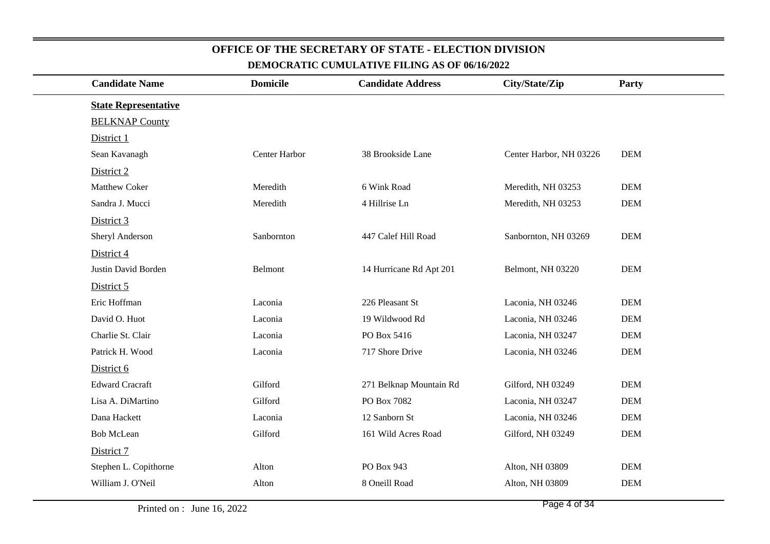| <b>Candidate Name</b>       | <b>Domicile</b> | <b>Candidate Address</b> | City/State/Zip          | Party      |
|-----------------------------|-----------------|--------------------------|-------------------------|------------|
| <b>State Representative</b> |                 |                          |                         |            |
| <b>BELKNAP County</b>       |                 |                          |                         |            |
| District 1                  |                 |                          |                         |            |
| Sean Kavanagh               | Center Harbor   | 38 Brookside Lane        | Center Harbor, NH 03226 | <b>DEM</b> |
| District 2                  |                 |                          |                         |            |
| <b>Matthew Coker</b>        | Meredith        | 6 Wink Road              | Meredith, NH 03253      | <b>DEM</b> |
| Sandra J. Mucci             | Meredith        | 4 Hillrise Ln            | Meredith, NH 03253      | <b>DEM</b> |
| District 3                  |                 |                          |                         |            |
| Sheryl Anderson             | Sanbornton      | 447 Calef Hill Road      | Sanbornton, NH 03269    | <b>DEM</b> |
| District 4                  |                 |                          |                         |            |
| Justin David Borden         | Belmont         | 14 Hurricane Rd Apt 201  | Belmont, NH 03220       | <b>DEM</b> |
| District 5                  |                 |                          |                         |            |
| Eric Hoffman                | Laconia         | 226 Pleasant St          | Laconia, NH 03246       | <b>DEM</b> |
| David O. Huot               | Laconia         | 19 Wildwood Rd           | Laconia, NH 03246       | <b>DEM</b> |
| Charlie St. Clair           | Laconia         | PO Box 5416              | Laconia, NH 03247       | <b>DEM</b> |
| Patrick H. Wood             | Laconia         | 717 Shore Drive          | Laconia, NH 03246       | <b>DEM</b> |
| District 6                  |                 |                          |                         |            |
| <b>Edward Cracraft</b>      | Gilford         | 271 Belknap Mountain Rd  | Gilford, NH 03249       | <b>DEM</b> |
| Lisa A. DiMartino           | Gilford         | PO Box 7082              | Laconia, NH 03247       | <b>DEM</b> |
| Dana Hackett                | Laconia         | 12 Sanborn St            | Laconia, NH 03246       | <b>DEM</b> |
| <b>Bob McLean</b>           | Gilford         | 161 Wild Acres Road      | Gilford, NH 03249       | <b>DEM</b> |
| District 7                  |                 |                          |                         |            |
| Stephen L. Copithorne       | Alton           | PO Box 943               | Alton, NH 03809         | <b>DEM</b> |
| William J. O'Neil           | Alton           | 8 Oneill Road            | Alton, NH 03809         | <b>DEM</b> |
|                             |                 |                          |                         |            |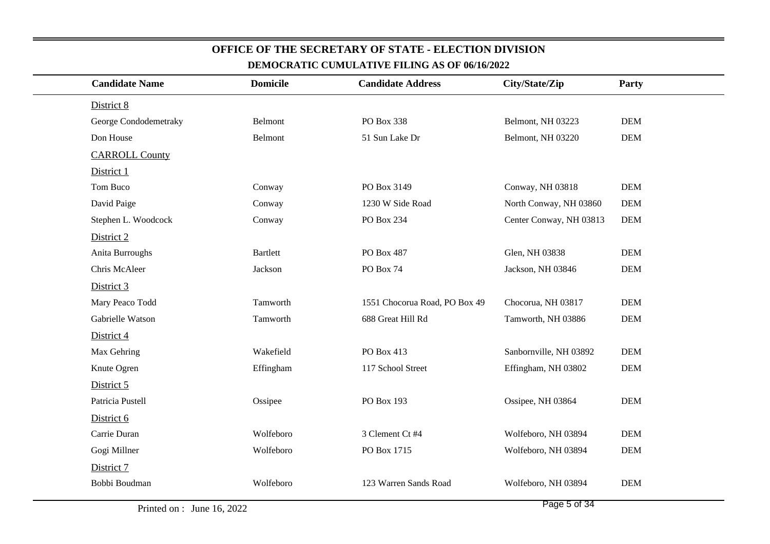| <b>Candidate Name</b> | <b>Domicile</b> | <b>Candidate Address</b>      | City/State/Zip          | Party      |
|-----------------------|-----------------|-------------------------------|-------------------------|------------|
| District 8            |                 |                               |                         |            |
| George Condodemetraky | Belmont         | PO Box 338                    | Belmont, NH 03223       | <b>DEM</b> |
| Don House             | Belmont         | 51 Sun Lake Dr                | Belmont, NH 03220       | <b>DEM</b> |
| <b>CARROLL County</b> |                 |                               |                         |            |
| District 1            |                 |                               |                         |            |
| Tom Buco              | Conway          | PO Box 3149                   | Conway, NH 03818        | <b>DEM</b> |
| David Paige           | Conway          | 1230 W Side Road              | North Conway, NH 03860  | <b>DEM</b> |
| Stephen L. Woodcock   | Conway          | PO Box 234                    | Center Conway, NH 03813 | <b>DEM</b> |
| District 2            |                 |                               |                         |            |
| Anita Burroughs       | <b>Bartlett</b> | PO Box 487                    | Glen, NH 03838          | <b>DEM</b> |
| Chris McAleer         | Jackson         | PO Box 74                     | Jackson, NH 03846       | <b>DEM</b> |
| District 3            |                 |                               |                         |            |
| Mary Peaco Todd       | Tamworth        | 1551 Chocorua Road, PO Box 49 | Chocorua, NH 03817      | <b>DEM</b> |
| Gabrielle Watson      | Tamworth        | 688 Great Hill Rd             | Tamworth, NH 03886      | <b>DEM</b> |
| District 4            |                 |                               |                         |            |
| Max Gehring           | Wakefield       | PO Box 413                    | Sanbornville, NH 03892  | <b>DEM</b> |
| Knute Ogren           | Effingham       | 117 School Street             | Effingham, NH 03802     | <b>DEM</b> |
| District 5            |                 |                               |                         |            |
| Patricia Pustell      | Ossipee         | PO Box 193                    | Ossipee, NH 03864       | <b>DEM</b> |
| District 6            |                 |                               |                         |            |
| Carrie Duran          | Wolfeboro       | 3 Clement Ct #4               | Wolfeboro, NH 03894     | <b>DEM</b> |
| Gogi Millner          | Wolfeboro       | PO Box 1715                   | Wolfeboro, NH 03894     | <b>DEM</b> |
| District 7            |                 |                               |                         |            |
| Bobbi Boudman         | Wolfeboro       | 123 Warren Sands Road         | Wolfeboro, NH 03894     | <b>DEM</b> |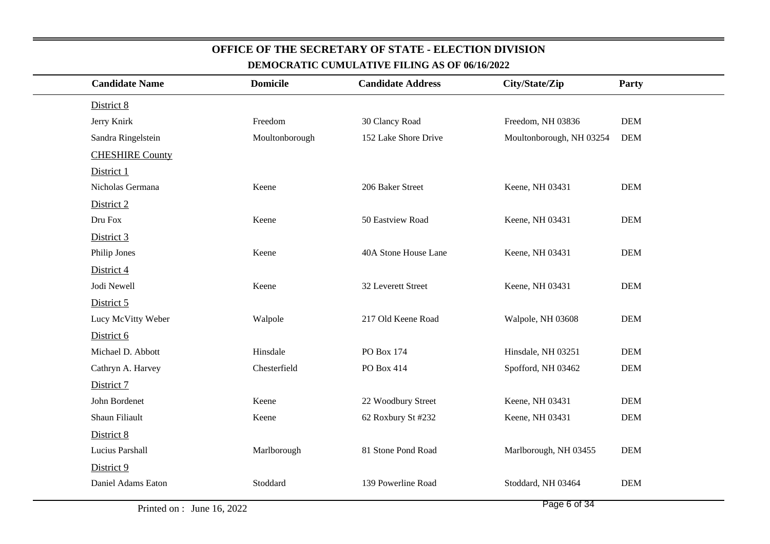| <b>Candidate Name</b>  | <b>Domicile</b> | <b>Candidate Address</b> | City/State/Zip           | Party      |
|------------------------|-----------------|--------------------------|--------------------------|------------|
| District 8             |                 |                          |                          |            |
| Jerry Knirk            | Freedom         | 30 Clancy Road           | Freedom, NH 03836        | <b>DEM</b> |
| Sandra Ringelstein     | Moultonborough  | 152 Lake Shore Drive     | Moultonborough, NH 03254 | <b>DEM</b> |
| <b>CHESHIRE County</b> |                 |                          |                          |            |
| District 1             |                 |                          |                          |            |
| Nicholas Germana       | Keene           | 206 Baker Street         | Keene, NH 03431          | <b>DEM</b> |
| District 2             |                 |                          |                          |            |
| Dru Fox                | Keene           | 50 Eastview Road         | Keene, NH 03431          | <b>DEM</b> |
| District 3             |                 |                          |                          |            |
| Philip Jones           | Keene           | 40A Stone House Lane     | Keene, NH 03431          | <b>DEM</b> |
| District 4             |                 |                          |                          |            |
| Jodi Newell            | Keene           | 32 Leverett Street       | Keene, NH 03431          | <b>DEM</b> |
| District 5             |                 |                          |                          |            |
| Lucy McVitty Weber     | Walpole         | 217 Old Keene Road       | Walpole, NH 03608        | <b>DEM</b> |
| District 6             |                 |                          |                          |            |
| Michael D. Abbott      | Hinsdale        | PO Box 174               | Hinsdale, NH 03251       | <b>DEM</b> |
| Cathryn A. Harvey      | Chesterfield    | PO Box 414               | Spofford, NH 03462       | <b>DEM</b> |
| District 7             |                 |                          |                          |            |
| John Bordenet          | Keene           | 22 Woodbury Street       | Keene, NH 03431          | <b>DEM</b> |
| Shaun Filiault         | Keene           | 62 Roxbury St #232       | Keene, NH 03431          | <b>DEM</b> |
| District 8             |                 |                          |                          |            |
| Lucius Parshall        | Marlborough     | 81 Stone Pond Road       | Marlborough, NH 03455    | <b>DEM</b> |
| District 9             |                 |                          |                          |            |
| Daniel Adams Eaton     | Stoddard        | 139 Powerline Road       | Stoddard, NH 03464       | <b>DEM</b> |
|                        |                 |                          |                          |            |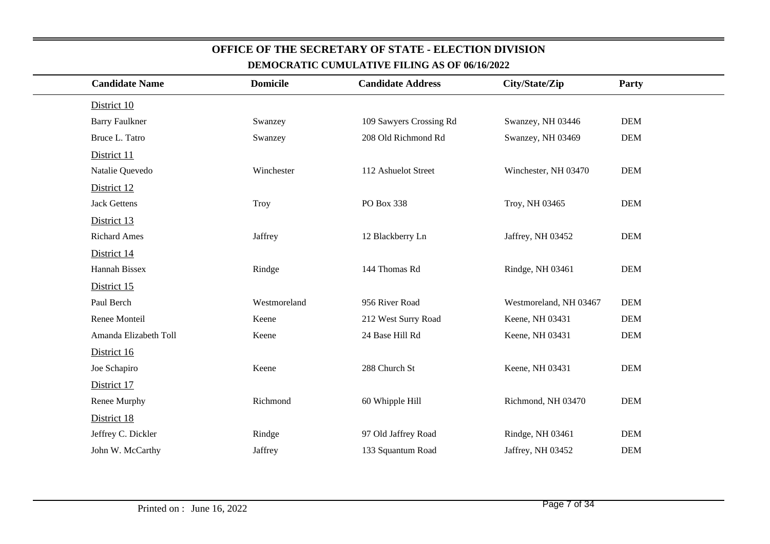| <b>Candidate Name</b> | <b>Domicile</b> | <b>Candidate Address</b> | City/State/Zip         | Party      |  |
|-----------------------|-----------------|--------------------------|------------------------|------------|--|
| District 10           |                 |                          |                        |            |  |
| <b>Barry Faulkner</b> | Swanzey         | 109 Sawyers Crossing Rd  | Swanzey, NH 03446      | <b>DEM</b> |  |
| Bruce L. Tatro        | Swanzey         | 208 Old Richmond Rd      | Swanzey, NH 03469      | <b>DEM</b> |  |
| District 11           |                 |                          |                        |            |  |
| Natalie Quevedo       | Winchester      | 112 Ashuelot Street      | Winchester, NH 03470   | <b>DEM</b> |  |
| District 12           |                 |                          |                        |            |  |
| <b>Jack Gettens</b>   | Troy            | PO Box 338               | Troy, NH 03465         | <b>DEM</b> |  |
| District 13           |                 |                          |                        |            |  |
| <b>Richard Ames</b>   | Jaffrey         | 12 Blackberry Ln         | Jaffrey, NH 03452      | <b>DEM</b> |  |
| District 14           |                 |                          |                        |            |  |
| Hannah Bissex         | Rindge          | 144 Thomas Rd            | Rindge, NH 03461       | <b>DEM</b> |  |
| District 15           |                 |                          |                        |            |  |
| Paul Berch            | Westmoreland    | 956 River Road           | Westmoreland, NH 03467 | <b>DEM</b> |  |
| Renee Monteil         | Keene           | 212 West Surry Road      | Keene, NH 03431        | <b>DEM</b> |  |
| Amanda Elizabeth Toll | Keene           | 24 Base Hill Rd          | Keene, NH 03431        | <b>DEM</b> |  |
| District 16           |                 |                          |                        |            |  |
| Joe Schapiro          | Keene           | 288 Church St            | Keene, NH 03431        | <b>DEM</b> |  |
| District 17           |                 |                          |                        |            |  |
| Renee Murphy          | Richmond        | 60 Whipple Hill          | Richmond, NH 03470     | <b>DEM</b> |  |
| District 18           |                 |                          |                        |            |  |
| Jeffrey C. Dickler    | Rindge          | 97 Old Jaffrey Road      | Rindge, NH 03461       | <b>DEM</b> |  |
| John W. McCarthy      | Jaffrey         | 133 Squantum Road        | Jaffrey, NH 03452      | <b>DEM</b> |  |
|                       |                 |                          |                        |            |  |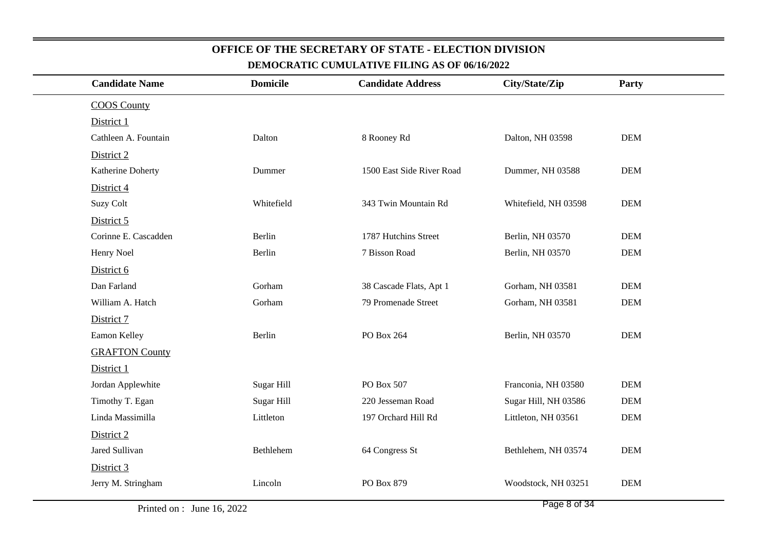| <b>Candidate Name</b> | <b>Domicile</b> | <b>Candidate Address</b>  | City/State/Zip       | Party      |
|-----------------------|-----------------|---------------------------|----------------------|------------|
| <b>COOS County</b>    |                 |                           |                      |            |
| District 1            |                 |                           |                      |            |
| Cathleen A. Fountain  | Dalton          | 8 Rooney Rd               | Dalton, NH 03598     | <b>DEM</b> |
| District 2            |                 |                           |                      |            |
| Katherine Doherty     | Dummer          | 1500 East Side River Road | Dummer, NH 03588     | <b>DEM</b> |
| District 4            |                 |                           |                      |            |
| <b>Suzy Colt</b>      | Whitefield      | 343 Twin Mountain Rd      | Whitefield, NH 03598 | <b>DEM</b> |
| District 5            |                 |                           |                      |            |
| Corinne E. Cascadden  | Berlin          | 1787 Hutchins Street      | Berlin, NH 03570     | <b>DEM</b> |
| Henry Noel            | Berlin          | 7 Bisson Road             | Berlin, NH 03570     | <b>DEM</b> |
| District 6            |                 |                           |                      |            |
| Dan Farland           | Gorham          | 38 Cascade Flats, Apt 1   | Gorham, NH 03581     | <b>DEM</b> |
| William A. Hatch      | Gorham          | 79 Promenade Street       | Gorham, NH 03581     | <b>DEM</b> |
| District 7            |                 |                           |                      |            |
| Eamon Kelley          | Berlin          | PO Box 264                | Berlin, NH 03570     | <b>DEM</b> |
| <b>GRAFTON County</b> |                 |                           |                      |            |
| District 1            |                 |                           |                      |            |
| Jordan Applewhite     | Sugar Hill      | PO Box 507                | Franconia, NH 03580  | <b>DEM</b> |
| Timothy T. Egan       | Sugar Hill      | 220 Jesseman Road         | Sugar Hill, NH 03586 | <b>DEM</b> |
| Linda Massimilla      | Littleton       | 197 Orchard Hill Rd       | Littleton, NH 03561  | <b>DEM</b> |
| District 2            |                 |                           |                      |            |
| Jared Sullivan        | Bethlehem       | 64 Congress St            | Bethlehem, NH 03574  | <b>DEM</b> |
| District 3            |                 |                           |                      |            |
| Jerry M. Stringham    | Lincoln         | PO Box 879                | Woodstock, NH 03251  | <b>DEM</b> |
|                       |                 |                           |                      |            |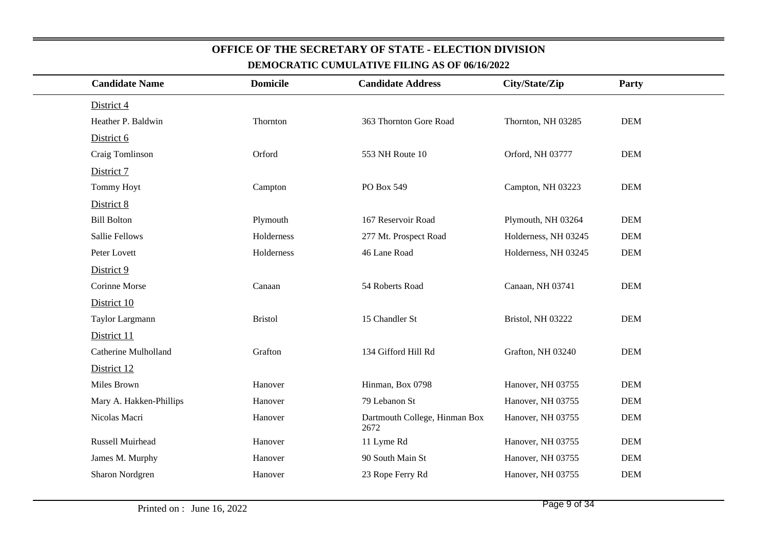| <b>Candidate Name</b>       | <b>Domicile</b> | <b>Candidate Address</b>              | City/State/Zip       | Party      |
|-----------------------------|-----------------|---------------------------------------|----------------------|------------|
| District 4                  |                 |                                       |                      |            |
| Heather P. Baldwin          | Thornton        | 363 Thornton Gore Road                | Thornton, NH 03285   | <b>DEM</b> |
| District 6                  |                 |                                       |                      |            |
| Craig Tomlinson             | Orford          | 553 NH Route 10                       | Orford, NH 03777     | <b>DEM</b> |
| District 7                  |                 |                                       |                      |            |
| <b>Tommy Hoyt</b>           | Campton         | PO Box 549                            | Campton, NH 03223    | <b>DEM</b> |
| District 8                  |                 |                                       |                      |            |
| <b>Bill Bolton</b>          | Plymouth        | 167 Reservoir Road                    | Plymouth, NH 03264   | <b>DEM</b> |
| <b>Sallie Fellows</b>       | Holderness      | 277 Mt. Prospect Road                 | Holderness, NH 03245 | <b>DEM</b> |
| Peter Lovett                | Holderness      | 46 Lane Road                          | Holderness, NH 03245 | <b>DEM</b> |
| District 9                  |                 |                                       |                      |            |
| Corinne Morse               | Canaan          | 54 Roberts Road                       | Canaan, NH 03741     | <b>DEM</b> |
| District 10                 |                 |                                       |                      |            |
| Taylor Largmann             | <b>Bristol</b>  | 15 Chandler St                        | Bristol, NH 03222    | <b>DEM</b> |
| District 11                 |                 |                                       |                      |            |
| <b>Catherine Mulholland</b> | Grafton         | 134 Gifford Hill Rd                   | Grafton, NH 03240    | <b>DEM</b> |
| District 12                 |                 |                                       |                      |            |
| Miles Brown                 | Hanover         | Hinman, Box 0798                      | Hanover, NH 03755    | <b>DEM</b> |
| Mary A. Hakken-Phillips     | Hanover         | 79 Lebanon St                         | Hanover, NH 03755    | <b>DEM</b> |
| Nicolas Macri               | Hanover         | Dartmouth College, Hinman Box<br>2672 | Hanover, NH 03755    | <b>DEM</b> |
| Russell Muirhead            | Hanover         | 11 Lyme Rd                            | Hanover, NH 03755    | <b>DEM</b> |
| James M. Murphy             | Hanover         | 90 South Main St                      | Hanover, NH 03755    | <b>DEM</b> |
| Sharon Nordgren             | Hanover         | 23 Rope Ferry Rd                      | Hanover, NH 03755    | <b>DEM</b> |
|                             |                 |                                       |                      |            |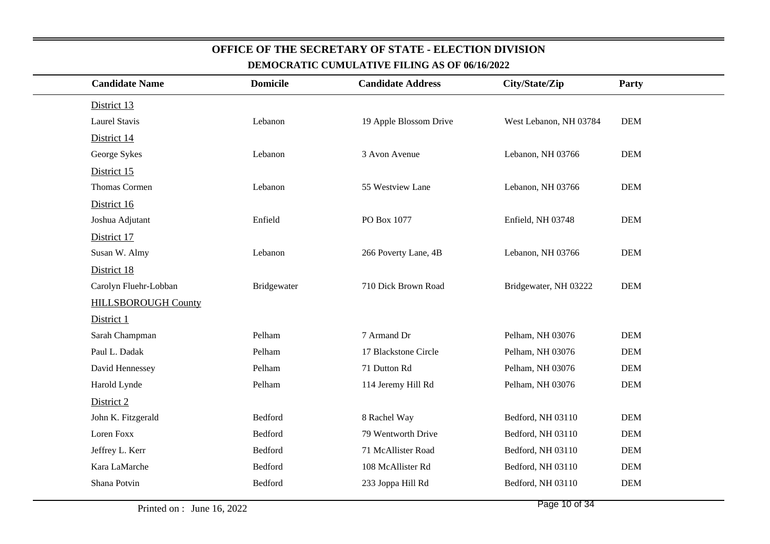| <b>Candidate Name</b>      | <b>Domicile</b> | <b>Candidate Address</b> | City/State/Zip         | Party      |  |
|----------------------------|-----------------|--------------------------|------------------------|------------|--|
| District 13                |                 |                          |                        |            |  |
| <b>Laurel Stavis</b>       | Lebanon         | 19 Apple Blossom Drive   | West Lebanon, NH 03784 | <b>DEM</b> |  |
| District 14                |                 |                          |                        |            |  |
| George Sykes               | Lebanon         | 3 Avon Avenue            | Lebanon, NH 03766      | <b>DEM</b> |  |
| District 15                |                 |                          |                        |            |  |
| <b>Thomas Cormen</b>       | Lebanon         | 55 Westview Lane         | Lebanon, NH 03766      | <b>DEM</b> |  |
| District 16                |                 |                          |                        |            |  |
| Joshua Adjutant            | Enfield         | PO Box 1077              | Enfield, NH 03748      | <b>DEM</b> |  |
| District 17                |                 |                          |                        |            |  |
| Susan W. Almy              | Lebanon         | 266 Poverty Lane, 4B     | Lebanon, NH 03766      | <b>DEM</b> |  |
| District 18                |                 |                          |                        |            |  |
| Carolyn Fluehr-Lobban      | Bridgewater     | 710 Dick Brown Road      | Bridgewater, NH 03222  | <b>DEM</b> |  |
| <b>HILLSBOROUGH County</b> |                 |                          |                        |            |  |
| District 1                 |                 |                          |                        |            |  |
| Sarah Champman             | Pelham          | 7 Armand Dr              | Pelham, NH 03076       | <b>DEM</b> |  |
| Paul L. Dadak              | Pelham          | 17 Blackstone Circle     | Pelham, NH 03076       | <b>DEM</b> |  |
| David Hennessey            | Pelham          | 71 Dutton Rd             | Pelham, NH 03076       | <b>DEM</b> |  |
| Harold Lynde               | Pelham          | 114 Jeremy Hill Rd       | Pelham, NH 03076       | <b>DEM</b> |  |
| District 2                 |                 |                          |                        |            |  |
| John K. Fitzgerald         | Bedford         | 8 Rachel Way             | Bedford, NH 03110      | <b>DEM</b> |  |
| Loren Foxx                 | Bedford         | 79 Wentworth Drive       | Bedford, NH 03110      | <b>DEM</b> |  |
| Jeffrey L. Kerr            | Bedford         | 71 McAllister Road       | Bedford, NH 03110      | <b>DEM</b> |  |
| Kara LaMarche              | Bedford         | 108 McAllister Rd        | Bedford, NH 03110      | <b>DEM</b> |  |
| Shana Potvin               | Bedford         | 233 Joppa Hill Rd        | Bedford, NH 03110      | <b>DEM</b> |  |
|                            |                 |                          |                        |            |  |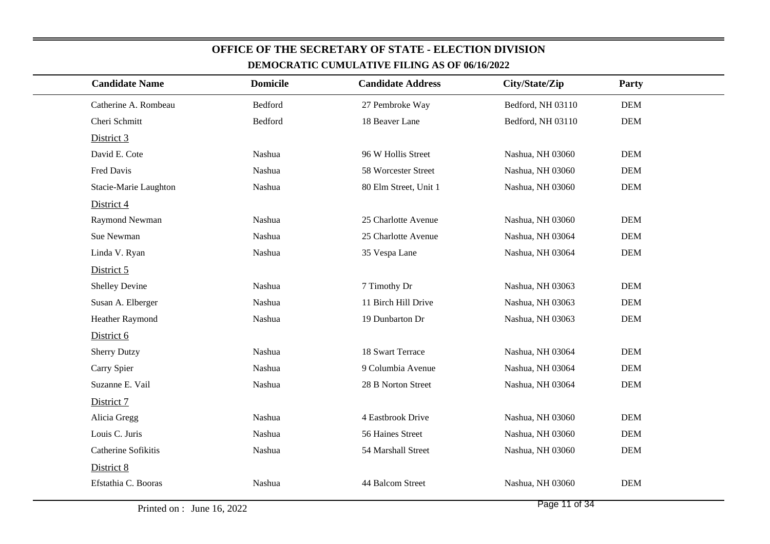| <b>Candidate Name</b> | <b>Domicile</b> | <b>Candidate Address</b> | City/State/Zip    | Party      |
|-----------------------|-----------------|--------------------------|-------------------|------------|
| Catherine A. Rombeau  | Bedford         | 27 Pembroke Way          | Bedford, NH 03110 | <b>DEM</b> |
| Cheri Schmitt         | Bedford         | 18 Beaver Lane           | Bedford, NH 03110 | <b>DEM</b> |
| District 3            |                 |                          |                   |            |
| David E. Cote         | Nashua          | 96 W Hollis Street       | Nashua, NH 03060  | <b>DEM</b> |
| Fred Davis            | Nashua          | 58 Worcester Street      | Nashua, NH 03060  | <b>DEM</b> |
| Stacie-Marie Laughton | Nashua          | 80 Elm Street, Unit 1    | Nashua, NH 03060  | <b>DEM</b> |
| District 4            |                 |                          |                   |            |
| Raymond Newman        | Nashua          | 25 Charlotte Avenue      | Nashua, NH 03060  | <b>DEM</b> |
| Sue Newman            | Nashua          | 25 Charlotte Avenue      | Nashua, NH 03064  | <b>DEM</b> |
| Linda V. Ryan         | Nashua          | 35 Vespa Lane            | Nashua, NH 03064  | <b>DEM</b> |
| District 5            |                 |                          |                   |            |
| Shelley Devine        | Nashua          | 7 Timothy Dr             | Nashua, NH 03063  | <b>DEM</b> |
| Susan A. Elberger     | Nashua          | 11 Birch Hill Drive      | Nashua, NH 03063  | <b>DEM</b> |
| Heather Raymond       | Nashua          | 19 Dunbarton Dr          | Nashua, NH 03063  | $DEM$      |
| District 6            |                 |                          |                   |            |
| <b>Sherry Dutzy</b>   | Nashua          | 18 Swart Terrace         | Nashua, NH 03064  | <b>DEM</b> |
| Carry Spier           | Nashua          | 9 Columbia Avenue        | Nashua, NH 03064  | <b>DEM</b> |
| Suzanne E. Vail       | Nashua          | 28 B Norton Street       | Nashua, NH 03064  | <b>DEM</b> |
| District 7            |                 |                          |                   |            |
| Alicia Gregg          | Nashua          | 4 Eastbrook Drive        | Nashua, NH 03060  | <b>DEM</b> |
| Louis C. Juris        | Nashua          | 56 Haines Street         | Nashua, NH 03060  | <b>DEM</b> |
| Catherine Sofikitis   | Nashua          | 54 Marshall Street       | Nashua, NH 03060  | <b>DEM</b> |
| District 8            |                 |                          |                   |            |
| Efstathia C. Booras   | Nashua          | 44 Balcom Street         | Nashua, NH 03060  | <b>DEM</b> |
|                       |                 |                          |                   |            |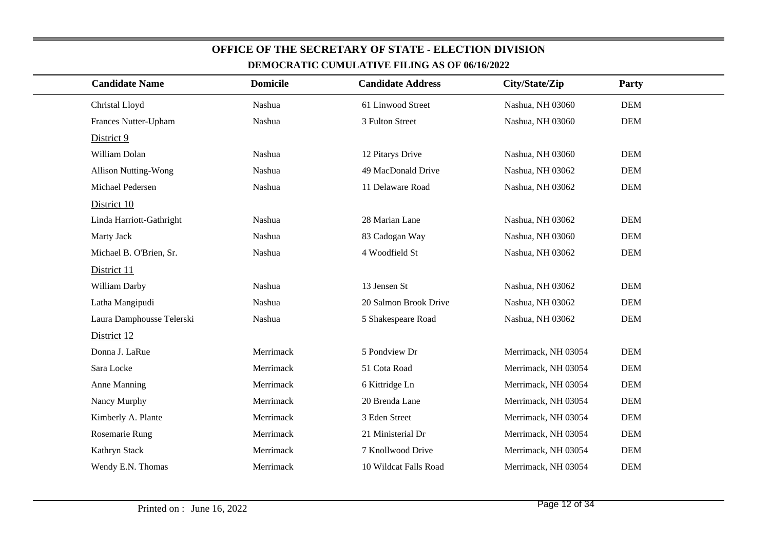#### Christal Lloydd 1 Nashua 1 1 Nashua 61 Linwood Street Nashua, NH 03060 DEM **DEM** Frances Nutter-Uphamm Nashua 3 Fulton Street Nashua, NH 03060 DEM District 9 William Dolann 12 Pitarys Drive Nashua, NH 03060 DEM Allison Nutting-Wong Nashua 49 MacDonald Drive Nashua, NH 03062 DEM**DEM** Michael PedersenNashua 11 Delaware Road Nashua, NH 03062 District 10Linda Harriott-Gathright Nashua28 Marian Lane Nashua, NH 03062 DEMMarty Jack Nashua 83 Cadogan Way Nashua, NH 03060 DEM2 DEM Michael B. O'Brien, Sr. Nashua4 Woodfield St Nashua, NH 03062 District 11William Darbyy 13 Jensen St Nashua, NH 03062 DEM Latha Mangipudi Nashua20 Salmon Brook Drive Nashua, NH 03062 DEM**DEM** Laura Damphousse Telerski Nashua 5 Shakespeare RoadNashua, NH 03062 District 12Donna J. LaRue Merrimack5 Pondview Dr Merrimack, NH 03054 DEM **DEM** Sara Locke Merrimack51 Cota Road Merrimack, NH 03054 **DEM** Anne ManningMerrimack 6 Kittridge Ln Merrimack, NH 03054 **DEM** Nancy MurphyMerrimack 20 Brenda Lane Merrimack, NH 03054 Kimberly A. Plante Merrimack3 Eden Street Merrimack, NH 03054 DEM **DEM** Rosemarie RungMerrimack 21 Ministerial Dr Merrimack, NH 03054 **DEM** Kathryn StackMerrimack 7 Knollwood Drive Merrimack, NH 03054 **DEM** Wendy E.N. Thomas Merrimack10 Wildcat Falls Road Merrimack, NH 03054 **Candidate NameDEMOCRATIC CUMULATIVE FILING AS OF 06/16/2022Domicile Candidate Address City/State/ZipParty**

**OFFICE OF THE SECRETARY OF STATE - ELECTION DIVISION**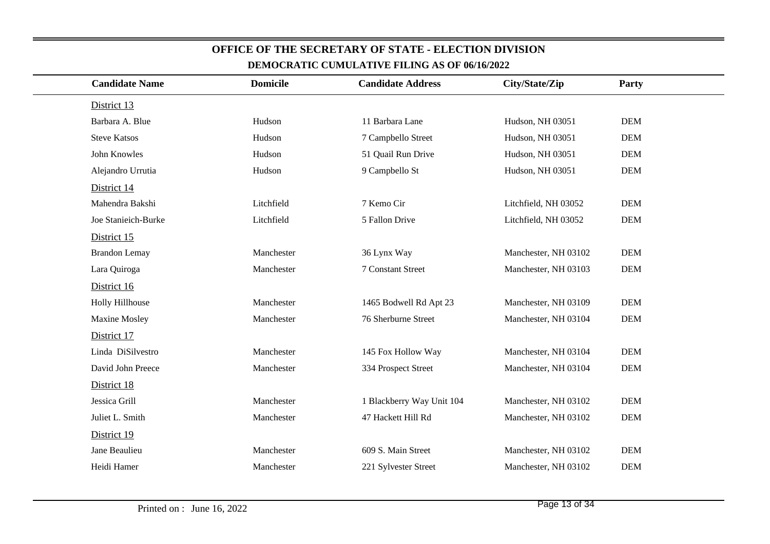| <b>Candidate Name</b>  | <b>Domicile</b> | <b>Candidate Address</b>  | City/State/Zip       | Party      |
|------------------------|-----------------|---------------------------|----------------------|------------|
| District 13            |                 |                           |                      |            |
| Barbara A. Blue        | Hudson          | 11 Barbara Lane           | Hudson, NH 03051     | <b>DEM</b> |
| <b>Steve Katsos</b>    | Hudson          | 7 Campbello Street        | Hudson, NH 03051     | <b>DEM</b> |
| John Knowles           | Hudson          | 51 Quail Run Drive        | Hudson, NH 03051     | <b>DEM</b> |
| Alejandro Urrutia      | Hudson          | 9 Campbello St            | Hudson, NH 03051     | <b>DEM</b> |
| District 14            |                 |                           |                      |            |
| Mahendra Bakshi        | Litchfield      | 7 Kemo Cir                | Litchfield, NH 03052 | <b>DEM</b> |
| Joe Stanieich-Burke    | Litchfield      | 5 Fallon Drive            | Litchfield, NH 03052 | <b>DEM</b> |
| District 15            |                 |                           |                      |            |
| <b>Brandon Lemay</b>   | Manchester      | 36 Lynx Way               | Manchester, NH 03102 | <b>DEM</b> |
| Lara Quiroga           | Manchester      | 7 Constant Street         | Manchester, NH 03103 | <b>DEM</b> |
| District 16            |                 |                           |                      |            |
| <b>Holly Hillhouse</b> | Manchester      | 1465 Bodwell Rd Apt 23    | Manchester, NH 03109 | <b>DEM</b> |
| Maxine Mosley          | Manchester      | 76 Sherburne Street       | Manchester, NH 03104 | <b>DEM</b> |
| District 17            |                 |                           |                      |            |
| Linda DiSilvestro      | Manchester      | 145 Fox Hollow Way        | Manchester, NH 03104 | <b>DEM</b> |
| David John Preece      | Manchester      | 334 Prospect Street       | Manchester, NH 03104 | <b>DEM</b> |
| District 18            |                 |                           |                      |            |
| Jessica Grill          | Manchester      | 1 Blackberry Way Unit 104 | Manchester, NH 03102 | <b>DEM</b> |
| Juliet L. Smith        | Manchester      | 47 Hackett Hill Rd        | Manchester, NH 03102 | <b>DEM</b> |
| District 19            |                 |                           |                      |            |
| Jane Beaulieu          | Manchester      | 609 S. Main Street        | Manchester, NH 03102 | <b>DEM</b> |
| Heidi Hamer            | Manchester      | 221 Sylvester Street      | Manchester, NH 03102 | <b>DEM</b> |
|                        |                 |                           |                      |            |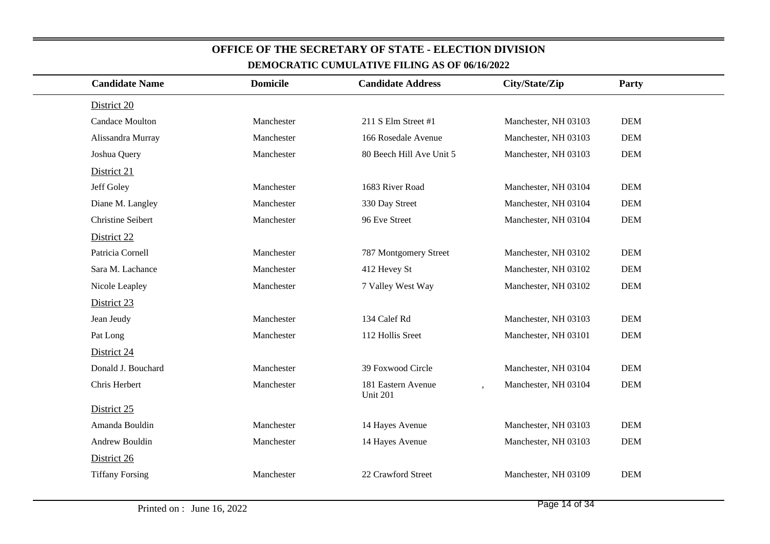| <b>Candidate Name</b>    | <b>Domicile</b> | <b>Candidate Address</b>       | City/State/Zip       | Party      |
|--------------------------|-----------------|--------------------------------|----------------------|------------|
| District 20              |                 |                                |                      |            |
| Candace Moulton          | Manchester      | 211 S Elm Street #1            | Manchester, NH 03103 | $DEM$      |
| Alissandra Murray        | Manchester      | 166 Rosedale Avenue            | Manchester, NH 03103 | <b>DEM</b> |
| Joshua Query             | Manchester      | 80 Beech Hill Ave Unit 5       | Manchester, NH 03103 | <b>DEM</b> |
| District 21              |                 |                                |                      |            |
| Jeff Goley               | Manchester      | 1683 River Road                | Manchester, NH 03104 | <b>DEM</b> |
| Diane M. Langley         | Manchester      | 330 Day Street                 | Manchester, NH 03104 | <b>DEM</b> |
| <b>Christine Seibert</b> | Manchester      | 96 Eve Street                  | Manchester, NH 03104 | $DEM$      |
| District 22              |                 |                                |                      |            |
| Patricia Cornell         | Manchester      | 787 Montgomery Street          | Manchester, NH 03102 | <b>DEM</b> |
| Sara M. Lachance         | Manchester      | 412 Hevey St                   | Manchester, NH 03102 | <b>DEM</b> |
| Nicole Leapley           | Manchester      | 7 Valley West Way              | Manchester, NH 03102 | <b>DEM</b> |
| District 23              |                 |                                |                      |            |
| Jean Jeudy               | Manchester      | 134 Calef Rd                   | Manchester, NH 03103 | <b>DEM</b> |
| Pat Long                 | Manchester      | 112 Hollis Sreet               | Manchester, NH 03101 | <b>DEM</b> |
| District 24              |                 |                                |                      |            |
| Donald J. Bouchard       | Manchester      | 39 Foxwood Circle              | Manchester, NH 03104 | <b>DEM</b> |
| Chris Herbert            | Manchester      | 181 Eastern Avenue<br>Unit 201 | Manchester, NH 03104 | <b>DEM</b> |
| District 25              |                 |                                |                      |            |
| Amanda Bouldin           | Manchester      | 14 Hayes Avenue                | Manchester, NH 03103 | <b>DEM</b> |
| Andrew Bouldin           | Manchester      | 14 Hayes Avenue                | Manchester, NH 03103 | <b>DEM</b> |
| District 26              |                 |                                |                      |            |
| <b>Tiffany Forsing</b>   | Manchester      | 22 Crawford Street             | Manchester, NH 03109 | <b>DEM</b> |
|                          |                 |                                |                      |            |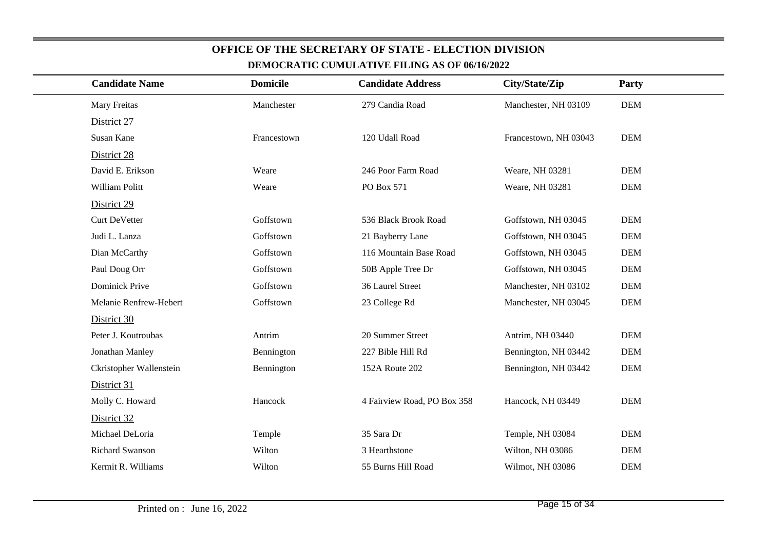| <b>Candidate Name</b>   | <b>Domicile</b> | <b>Candidate Address</b>    | City/State/Zip        | Party      |
|-------------------------|-----------------|-----------------------------|-----------------------|------------|
| Mary Freitas            | Manchester      | 279 Candia Road             | Manchester, NH 03109  | <b>DEM</b> |
| District 27             |                 |                             |                       |            |
| Susan Kane              | Francestown     | 120 Udall Road              | Francestown, NH 03043 | <b>DEM</b> |
| District 28             |                 |                             |                       |            |
| David E. Erikson        | Weare           | 246 Poor Farm Road          | Weare, NH 03281       | <b>DEM</b> |
| William Politt          | Weare           | PO Box 571                  | Weare, NH 03281       | <b>DEM</b> |
| District 29             |                 |                             |                       |            |
| <b>Curt DeVetter</b>    | Goffstown       | 536 Black Brook Road        | Goffstown, NH 03045   | <b>DEM</b> |
| Judi L. Lanza           | Goffstown       | 21 Bayberry Lane            | Goffstown, NH 03045   | <b>DEM</b> |
| Dian McCarthy           | Goffstown       | 116 Mountain Base Road      | Goffstown, NH 03045   | <b>DEM</b> |
| Paul Doug Orr           | Goffstown       | 50B Apple Tree Dr           | Goffstown, NH 03045   | <b>DEM</b> |
| Dominick Prive          | Goffstown       | 36 Laurel Street            | Manchester, NH 03102  | <b>DEM</b> |
| Melanie Renfrew-Hebert  | Goffstown       | 23 College Rd               | Manchester, NH 03045  | <b>DEM</b> |
| District 30             |                 |                             |                       |            |
| Peter J. Koutroubas     | Antrim          | 20 Summer Street            | Antrim, NH 03440      | <b>DEM</b> |
| Jonathan Manley         | Bennington      | 227 Bible Hill Rd           | Bennington, NH 03442  | <b>DEM</b> |
| Ckristopher Wallenstein | Bennington      | 152A Route 202              | Bennington, NH 03442  | <b>DEM</b> |
| District 31             |                 |                             |                       |            |
| Molly C. Howard         | Hancock         | 4 Fairview Road, PO Box 358 | Hancock, NH 03449     | <b>DEM</b> |
| District 32             |                 |                             |                       |            |
| Michael DeLoria         | Temple          | 35 Sara Dr                  | Temple, NH 03084      | <b>DEM</b> |
| <b>Richard Swanson</b>  | Wilton          | 3 Hearthstone               | Wilton, NH 03086      | <b>DEM</b> |
| Kermit R. Williams      | Wilton          | 55 Burns Hill Road          | Wilmot, NH 03086      | $DEM$      |
|                         |                 |                             |                       |            |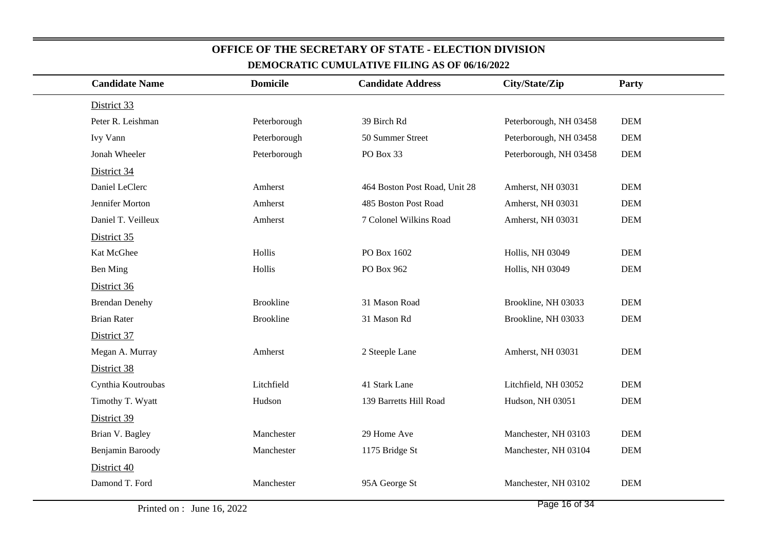| <b>Candidate Name</b> | <b>Domicile</b>  | <b>Candidate Address</b>      | City/State/Zip         | Party      |
|-----------------------|------------------|-------------------------------|------------------------|------------|
| District 33           |                  |                               |                        |            |
| Peter R. Leishman     | Peterborough     | 39 Birch Rd                   | Peterborough, NH 03458 | <b>DEM</b> |
| Ivy Vann              | Peterborough     | 50 Summer Street              | Peterborough, NH 03458 | <b>DEM</b> |
| Jonah Wheeler         | Peterborough     | PO Box 33                     | Peterborough, NH 03458 | <b>DEM</b> |
| District 34           |                  |                               |                        |            |
| Daniel LeClerc        | Amherst          | 464 Boston Post Road, Unit 28 | Amherst, NH 03031      | <b>DEM</b> |
| Jennifer Morton       | Amherst          | 485 Boston Post Road          | Amherst, NH 03031      | <b>DEM</b> |
| Daniel T. Veilleux    | Amherst          | 7 Colonel Wilkins Road        | Amherst, NH 03031      | <b>DEM</b> |
| District 35           |                  |                               |                        |            |
| Kat McGhee            | Hollis           | PO Box 1602                   | Hollis, NH 03049       | <b>DEM</b> |
| Ben Ming              | Hollis           | PO Box 962                    | Hollis, NH 03049       | DEM        |
| District 36           |                  |                               |                        |            |
| <b>Brendan Denehy</b> | <b>Brookline</b> | 31 Mason Road                 | Brookline, NH 03033    | <b>DEM</b> |
| <b>Brian Rater</b>    | <b>Brookline</b> | 31 Mason Rd                   | Brookline, NH 03033    | DEM        |
| District 37           |                  |                               |                        |            |
| Megan A. Murray       | Amherst          | 2 Steeple Lane                | Amherst, NH 03031      | <b>DEM</b> |
| District 38           |                  |                               |                        |            |
| Cynthia Koutroubas    | Litchfield       | 41 Stark Lane                 | Litchfield, NH 03052   | <b>DEM</b> |
| Timothy T. Wyatt      | Hudson           | 139 Barretts Hill Road        | Hudson, NH 03051       | DEM        |
| District 39           |                  |                               |                        |            |
| Brian V. Bagley       | Manchester       | 29 Home Ave                   | Manchester, NH 03103   | <b>DEM</b> |
| Benjamin Baroody      | Manchester       | 1175 Bridge St                | Manchester, NH 03104   | <b>DEM</b> |
| District 40           |                  |                               |                        |            |
| Damond T. Ford        | Manchester       | 95A George St                 | Manchester, NH 03102   | <b>DEM</b> |
|                       |                  |                               |                        |            |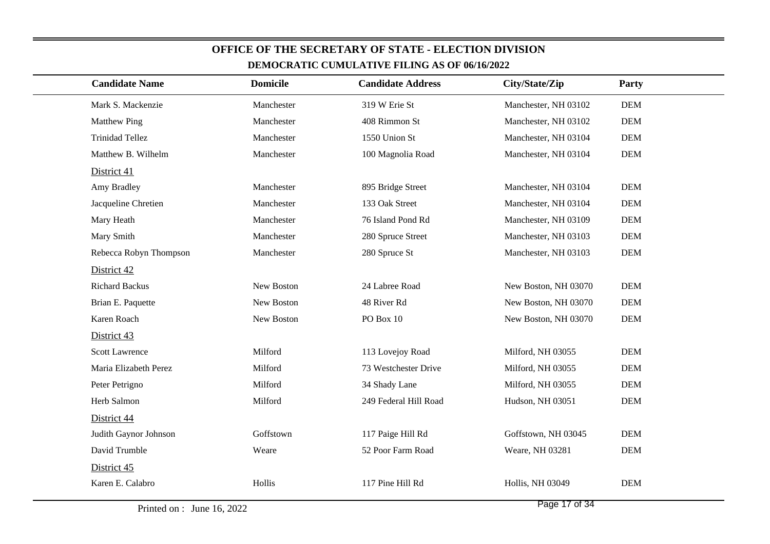| <b>Candidate Name</b>  | <b>Domicile</b> | <b>Candidate Address</b> | City/State/Zip       | Party      |
|------------------------|-----------------|--------------------------|----------------------|------------|
| Mark S. Mackenzie      | Manchester      | 319 W Erie St            | Manchester, NH 03102 | <b>DEM</b> |
| <b>Matthew Ping</b>    | Manchester      | 408 Rimmon St            | Manchester, NH 03102 | <b>DEM</b> |
| <b>Trinidad Tellez</b> | Manchester      | 1550 Union St            | Manchester, NH 03104 | <b>DEM</b> |
| Matthew B. Wilhelm     | Manchester      | 100 Magnolia Road        | Manchester, NH 03104 | <b>DEM</b> |
| District 41            |                 |                          |                      |            |
| Amy Bradley            | Manchester      | 895 Bridge Street        | Manchester, NH 03104 | <b>DEM</b> |
| Jacqueline Chretien    | Manchester      | 133 Oak Street           | Manchester, NH 03104 | <b>DEM</b> |
| Mary Heath             | Manchester      | 76 Island Pond Rd        | Manchester, NH 03109 | <b>DEM</b> |
| Mary Smith             | Manchester      | 280 Spruce Street        | Manchester, NH 03103 | <b>DEM</b> |
| Rebecca Robyn Thompson | Manchester      | 280 Spruce St            | Manchester, NH 03103 | <b>DEM</b> |
| District 42            |                 |                          |                      |            |
| <b>Richard Backus</b>  | New Boston      | 24 Labree Road           | New Boston, NH 03070 | <b>DEM</b> |
| Brian E. Paquette      | New Boston      | 48 River Rd              | New Boston, NH 03070 | <b>DEM</b> |
| Karen Roach            | New Boston      | PO Box $10$              | New Boston, NH 03070 | <b>DEM</b> |
| District 43            |                 |                          |                      |            |
| <b>Scott Lawrence</b>  | Milford         | 113 Lovejoy Road         | Milford, NH 03055    | <b>DEM</b> |
| Maria Elizabeth Perez  | Milford         | 73 Westchester Drive     | Milford, NH 03055    | <b>DEM</b> |
| Peter Petrigno         | Milford         | 34 Shady Lane            | Milford, NH 03055    | <b>DEM</b> |
| Herb Salmon            | Milford         | 249 Federal Hill Road    | Hudson, NH 03051     | <b>DEM</b> |
| District 44            |                 |                          |                      |            |
| Judith Gaynor Johnson  | Goffstown       | 117 Paige Hill Rd        | Goffstown, NH 03045  | <b>DEM</b> |
| David Trumble          | Weare           | 52 Poor Farm Road        | Weare, NH 03281      | <b>DEM</b> |
| District 45            |                 |                          |                      |            |
| Karen E. Calabro       | Hollis          | 117 Pine Hill Rd         | Hollis, NH 03049     | <b>DEM</b> |
|                        |                 |                          |                      |            |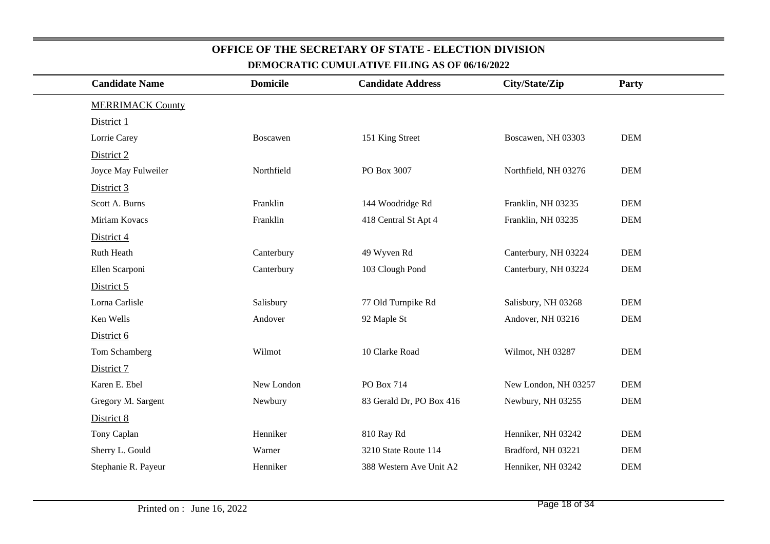|                         |                       |                                                                                                                                                                                            |                                                                                                                                                                                                                                                                                                            | Party                                                                                                                                                                                                                                                                                                                                   |  |
|-------------------------|-----------------------|--------------------------------------------------------------------------------------------------------------------------------------------------------------------------------------------|------------------------------------------------------------------------------------------------------------------------------------------------------------------------------------------------------------------------------------------------------------------------------------------------------------|-----------------------------------------------------------------------------------------------------------------------------------------------------------------------------------------------------------------------------------------------------------------------------------------------------------------------------------------|--|
| <b>MERRIMACK County</b> |                       |                                                                                                                                                                                            |                                                                                                                                                                                                                                                                                                            |                                                                                                                                                                                                                                                                                                                                         |  |
|                         |                       |                                                                                                                                                                                            |                                                                                                                                                                                                                                                                                                            |                                                                                                                                                                                                                                                                                                                                         |  |
|                         |                       |                                                                                                                                                                                            |                                                                                                                                                                                                                                                                                                            | <b>DEM</b>                                                                                                                                                                                                                                                                                                                              |  |
|                         |                       |                                                                                                                                                                                            |                                                                                                                                                                                                                                                                                                            |                                                                                                                                                                                                                                                                                                                                         |  |
| Joyce May Fulweiler     |                       |                                                                                                                                                                                            |                                                                                                                                                                                                                                                                                                            | <b>DEM</b>                                                                                                                                                                                                                                                                                                                              |  |
|                         |                       |                                                                                                                                                                                            |                                                                                                                                                                                                                                                                                                            |                                                                                                                                                                                                                                                                                                                                         |  |
| Scott A. Burns          |                       |                                                                                                                                                                                            |                                                                                                                                                                                                                                                                                                            | <b>DEM</b>                                                                                                                                                                                                                                                                                                                              |  |
| Miriam Kovacs           |                       |                                                                                                                                                                                            |                                                                                                                                                                                                                                                                                                            | <b>DEM</b>                                                                                                                                                                                                                                                                                                                              |  |
|                         |                       |                                                                                                                                                                                            |                                                                                                                                                                                                                                                                                                            |                                                                                                                                                                                                                                                                                                                                         |  |
|                         |                       |                                                                                                                                                                                            |                                                                                                                                                                                                                                                                                                            | <b>DEM</b>                                                                                                                                                                                                                                                                                                                              |  |
| Ellen Scarponi          |                       |                                                                                                                                                                                            |                                                                                                                                                                                                                                                                                                            | <b>DEM</b>                                                                                                                                                                                                                                                                                                                              |  |
|                         |                       |                                                                                                                                                                                            |                                                                                                                                                                                                                                                                                                            |                                                                                                                                                                                                                                                                                                                                         |  |
| Lorna Carlisle          |                       |                                                                                                                                                                                            |                                                                                                                                                                                                                                                                                                            | <b>DEM</b>                                                                                                                                                                                                                                                                                                                              |  |
|                         |                       |                                                                                                                                                                                            |                                                                                                                                                                                                                                                                                                            | <b>DEM</b>                                                                                                                                                                                                                                                                                                                              |  |
|                         |                       |                                                                                                                                                                                            |                                                                                                                                                                                                                                                                                                            |                                                                                                                                                                                                                                                                                                                                         |  |
| Tom Schamberg           |                       |                                                                                                                                                                                            |                                                                                                                                                                                                                                                                                                            | <b>DEM</b>                                                                                                                                                                                                                                                                                                                              |  |
|                         |                       |                                                                                                                                                                                            |                                                                                                                                                                                                                                                                                                            |                                                                                                                                                                                                                                                                                                                                         |  |
| Karen E. Ebel           |                       |                                                                                                                                                                                            |                                                                                                                                                                                                                                                                                                            | <b>DEM</b>                                                                                                                                                                                                                                                                                                                              |  |
| Gregory M. Sargent      |                       |                                                                                                                                                                                            |                                                                                                                                                                                                                                                                                                            | <b>DEM</b>                                                                                                                                                                                                                                                                                                                              |  |
|                         |                       |                                                                                                                                                                                            |                                                                                                                                                                                                                                                                                                            |                                                                                                                                                                                                                                                                                                                                         |  |
|                         |                       |                                                                                                                                                                                            |                                                                                                                                                                                                                                                                                                            | <b>DEM</b>                                                                                                                                                                                                                                                                                                                              |  |
| Sherry L. Gould         |                       |                                                                                                                                                                                            |                                                                                                                                                                                                                                                                                                            | <b>DEM</b>                                                                                                                                                                                                                                                                                                                              |  |
| Stephanie R. Payeur     |                       |                                                                                                                                                                                            |                                                                                                                                                                                                                                                                                                            | $DEM$                                                                                                                                                                                                                                                                                                                                   |  |
|                         | <b>Candidate Name</b> | <b>Domicile</b><br>Boscawen<br>Northfield<br>Franklin<br>Franklin<br>Canterbury<br>Canterbury<br>Salisbury<br>Andover<br>Wilmot<br>New London<br>Newbury<br>Henniker<br>Warner<br>Henniker | <b>Candidate Address</b><br>151 King Street<br>PO Box 3007<br>144 Woodridge Rd<br>418 Central St Apt 4<br>49 Wyven Rd<br>103 Clough Pond<br>77 Old Turnpike Rd<br>92 Maple St<br>10 Clarke Road<br>PO Box 714<br>83 Gerald Dr, PO Box 416<br>810 Ray Rd<br>3210 State Route 114<br>388 Western Ave Unit A2 | City/State/Zip<br>Boscawen, NH 03303<br>Northfield, NH 03276<br>Franklin, NH 03235<br>Franklin, NH 03235<br>Canterbury, NH 03224<br>Canterbury, NH 03224<br>Salisbury, NH 03268<br>Andover, NH 03216<br>Wilmot, NH 03287<br>New London, NH 03257<br>Newbury, NH 03255<br>Henniker, NH 03242<br>Bradford, NH 03221<br>Henniker, NH 03242 |  |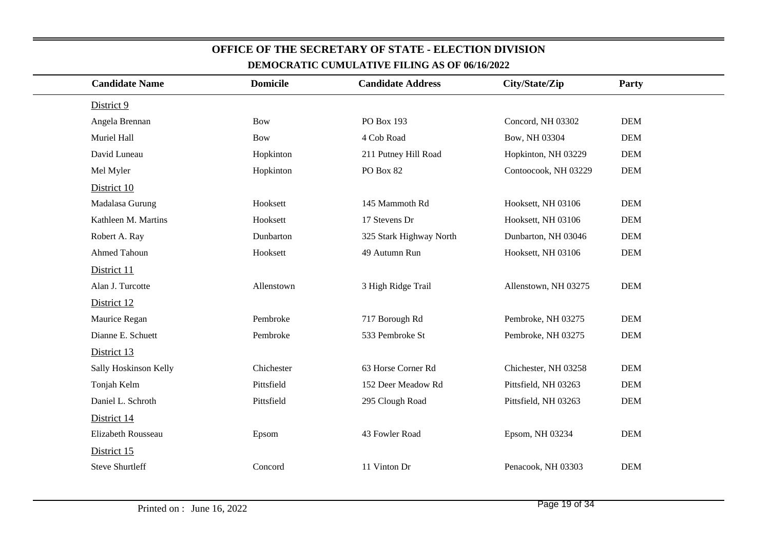| <b>Candidate Name</b>  | <b>Domicile</b> | <b>Candidate Address</b> | City/State/Zip       | Party      |
|------------------------|-----------------|--------------------------|----------------------|------------|
|                        |                 |                          |                      |            |
| District 9             |                 |                          |                      |            |
| Angela Brennan         | <b>Bow</b>      | PO Box 193               | Concord, NH 03302    | <b>DEM</b> |
| Muriel Hall            | <b>Bow</b>      | 4 Cob Road               | Bow, NH 03304        | <b>DEM</b> |
| David Luneau           | Hopkinton       | 211 Putney Hill Road     | Hopkinton, NH 03229  | <b>DEM</b> |
| Mel Myler              | Hopkinton       | PO Box 82                | Contoocook, NH 03229 | <b>DEM</b> |
| District 10            |                 |                          |                      |            |
| Madalasa Gurung        | Hooksett        | 145 Mammoth Rd           | Hooksett, NH 03106   | <b>DEM</b> |
| Kathleen M. Martins    | Hooksett        | 17 Stevens Dr            | Hooksett, NH 03106   | <b>DEM</b> |
| Robert A. Ray          | Dunbarton       | 325 Stark Highway North  | Dunbarton, NH 03046  | <b>DEM</b> |
| Ahmed Tahoun           | Hooksett        | 49 Autumn Run            | Hooksett, NH 03106   | <b>DEM</b> |
| District 11            |                 |                          |                      |            |
| Alan J. Turcotte       | Allenstown      | 3 High Ridge Trail       | Allenstown, NH 03275 | <b>DEM</b> |
| District 12            |                 |                          |                      |            |
| Maurice Regan          | Pembroke        | 717 Borough Rd           | Pembroke, NH 03275   | <b>DEM</b> |
| Dianne E. Schuett      | Pembroke        | 533 Pembroke St          | Pembroke, NH 03275   | <b>DEM</b> |
| District 13            |                 |                          |                      |            |
| Sally Hoskinson Kelly  | Chichester      | 63 Horse Corner Rd       | Chichester, NH 03258 | <b>DEM</b> |
| Tonjah Kelm            | Pittsfield      | 152 Deer Meadow Rd       | Pittsfield, NH 03263 | <b>DEM</b> |
| Daniel L. Schroth      | Pittsfield      | 295 Clough Road          | Pittsfield, NH 03263 | <b>DEM</b> |
| District 14            |                 |                          |                      |            |
| Elizabeth Rousseau     | Epsom           | 43 Fowler Road           | Epsom, NH 03234      | <b>DEM</b> |
| District 15            |                 |                          |                      |            |
| <b>Steve Shurtleff</b> | Concord         | 11 Vinton Dr             | Penacook, NH 03303   | <b>DEM</b> |
|                        |                 |                          |                      |            |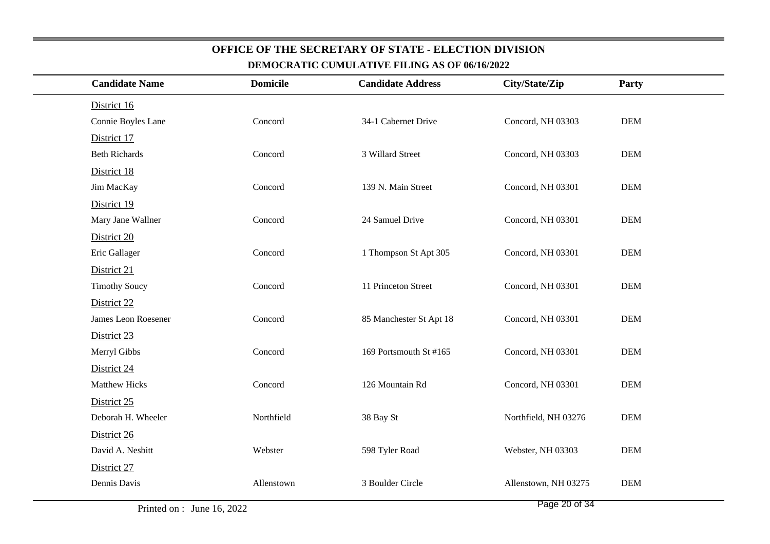| <b>Candidate Name</b> | <b>Domicile</b> | <b>Candidate Address</b> | City/State/Zip       | Party      |
|-----------------------|-----------------|--------------------------|----------------------|------------|
| District 16           |                 |                          |                      |            |
| Connie Boyles Lane    | Concord         | 34-1 Cabernet Drive      | Concord, NH 03303    | <b>DEM</b> |
| District 17           |                 |                          |                      |            |
| <b>Beth Richards</b>  | Concord         | 3 Willard Street         | Concord, NH 03303    | <b>DEM</b> |
| District 18           |                 |                          |                      |            |
| Jim MacKay            | Concord         | 139 N. Main Street       | Concord, NH 03301    | <b>DEM</b> |
| District 19           |                 |                          |                      |            |
| Mary Jane Wallner     | Concord         | 24 Samuel Drive          | Concord, NH 03301    | <b>DEM</b> |
| District 20           |                 |                          |                      |            |
| Eric Gallager         | Concord         | 1 Thompson St Apt 305    | Concord, NH 03301    | <b>DEM</b> |
| District 21           |                 |                          |                      |            |
| <b>Timothy Soucy</b>  | Concord         | 11 Princeton Street      | Concord, NH 03301    | $DEM$      |
| District 22           |                 |                          |                      |            |
| James Leon Roesener   | Concord         | 85 Manchester St Apt 18  | Concord, NH 03301    | <b>DEM</b> |
| District 23           |                 |                          |                      |            |
| Merryl Gibbs          | Concord         | 169 Portsmouth St #165   | Concord, NH 03301    | <b>DEM</b> |
| District 24           |                 |                          |                      |            |
| <b>Matthew Hicks</b>  | Concord         | 126 Mountain Rd          | Concord, NH 03301    | <b>DEM</b> |
| District 25           |                 |                          |                      |            |
| Deborah H. Wheeler    | Northfield      | 38 Bay St                | Northfield, NH 03276 | <b>DEM</b> |
| District 26           |                 |                          |                      |            |
| David A. Nesbitt      | Webster         | 598 Tyler Road           | Webster, NH 03303    | <b>DEM</b> |
| District 27           |                 |                          |                      |            |
| Dennis Davis          | Allenstown      | 3 Boulder Circle         | Allenstown, NH 03275 | <b>DEM</b> |
|                       |                 |                          |                      |            |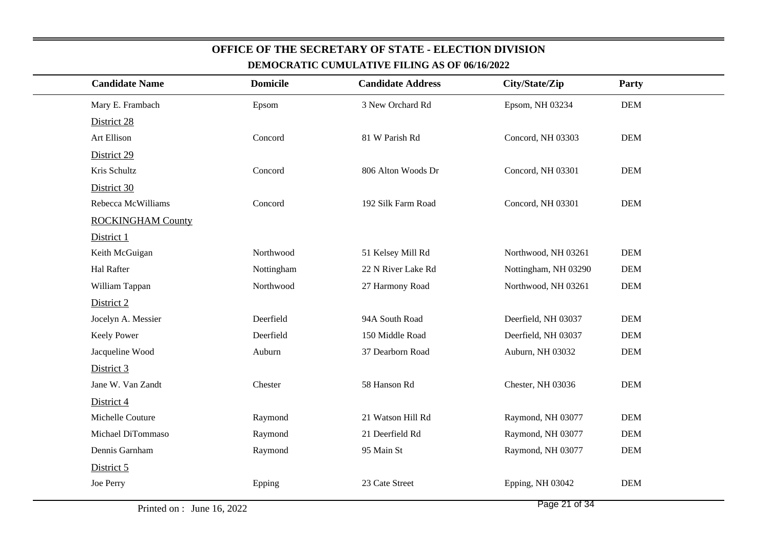|                          |                 | DEMOCRATIC COMOLATIVE FILING AS OF 00/10/2022 |                      |            |
|--------------------------|-----------------|-----------------------------------------------|----------------------|------------|
| <b>Candidate Name</b>    | <b>Domicile</b> | <b>Candidate Address</b>                      | City/State/Zip       | Party      |
| Mary E. Frambach         | Epsom           | 3 New Orchard Rd                              | Epsom, NH 03234      | <b>DEM</b> |
| District 28              |                 |                                               |                      |            |
| Art Ellison              | Concord         | 81 W Parish Rd                                | Concord, NH 03303    | <b>DEM</b> |
| District 29              |                 |                                               |                      |            |
| Kris Schultz             | Concord         | 806 Alton Woods Dr                            | Concord, NH 03301    | <b>DEM</b> |
| District 30              |                 |                                               |                      |            |
| Rebecca McWilliams       | Concord         | 192 Silk Farm Road                            | Concord, NH 03301    | <b>DEM</b> |
| <b>ROCKINGHAM County</b> |                 |                                               |                      |            |
| District 1               |                 |                                               |                      |            |
| Keith McGuigan           | Northwood       | 51 Kelsey Mill Rd                             | Northwood, NH 03261  | <b>DEM</b> |
| Hal Rafter               | Nottingham      | 22 N River Lake Rd                            | Nottingham, NH 03290 | <b>DEM</b> |
| William Tappan           | Northwood       | 27 Harmony Road                               | Northwood, NH 03261  | <b>DEM</b> |
| District 2               |                 |                                               |                      |            |
| Jocelyn A. Messier       | Deerfield       | 94A South Road                                | Deerfield, NH 03037  | <b>DEM</b> |
| Keely Power              | Deerfield       | 150 Middle Road                               | Deerfield, NH 03037  | <b>DEM</b> |
| Jacqueline Wood          | Auburn          | 37 Dearborn Road                              | Auburn, NH 03032     | $DEM$      |
| District 3               |                 |                                               |                      |            |
| Jane W. Van Zandt        | Chester         | 58 Hanson Rd                                  | Chester, NH 03036    | <b>DEM</b> |
| District 4               |                 |                                               |                      |            |
| Michelle Couture         | Raymond         | 21 Watson Hill Rd                             | Raymond, NH 03077    | <b>DEM</b> |
| Michael DiTommaso        | Raymond         | 21 Deerfield Rd                               | Raymond, NH 03077    | <b>DEM</b> |
| Dennis Garnham           | Raymond         | 95 Main St                                    | Raymond, NH 03077    | $DEM$      |
| District 5               |                 |                                               |                      |            |
| Joe Perry                | Epping          | 23 Cate Street                                | Epping, NH 03042     | $DEM$      |
|                          |                 |                                               |                      |            |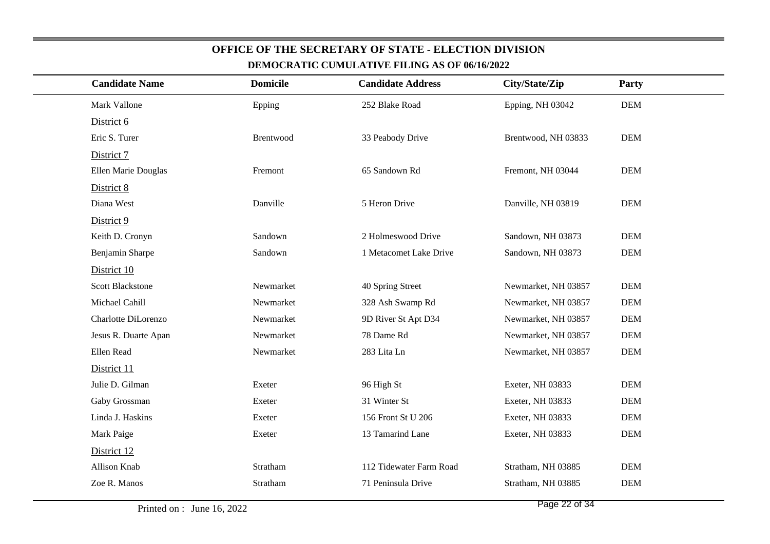| <b>Candidate Name</b>   | <b>Domicile</b> | <b>Candidate Address</b> | City/State/Zip      | Party      |  |
|-------------------------|-----------------|--------------------------|---------------------|------------|--|
| Mark Vallone            | Epping          | 252 Blake Road           | Epping, NH 03042    | <b>DEM</b> |  |
| District 6              |                 |                          |                     |            |  |
| Eric S. Turer           | Brentwood       | 33 Peabody Drive         | Brentwood, NH 03833 | <b>DEM</b> |  |
| District 7              |                 |                          |                     |            |  |
| Ellen Marie Douglas     | Fremont         | 65 Sandown Rd            | Fremont, NH 03044   | <b>DEM</b> |  |
| District 8              |                 |                          |                     |            |  |
| Diana West              | Danville        | 5 Heron Drive            | Danville, NH 03819  | <b>DEM</b> |  |
| District 9              |                 |                          |                     |            |  |
| Keith D. Cronyn         | Sandown         | 2 Holmeswood Drive       | Sandown, NH 03873   | <b>DEM</b> |  |
| Benjamin Sharpe         | Sandown         | 1 Metacomet Lake Drive   | Sandown, NH 03873   | <b>DEM</b> |  |
| District 10             |                 |                          |                     |            |  |
| <b>Scott Blackstone</b> | Newmarket       | 40 Spring Street         | Newmarket, NH 03857 | <b>DEM</b> |  |
| Michael Cahill          | Newmarket       | 328 Ash Swamp Rd         | Newmarket, NH 03857 | <b>DEM</b> |  |
| Charlotte DiLorenzo     | Newmarket       | 9D River St Apt D34      | Newmarket, NH 03857 | <b>DEM</b> |  |
| Jesus R. Duarte Apan    | Newmarket       | 78 Dame Rd               | Newmarket, NH 03857 | <b>DEM</b> |  |
| Ellen Read              | Newmarket       | 283 Lita Ln              | Newmarket, NH 03857 | <b>DEM</b> |  |
| District 11             |                 |                          |                     |            |  |
| Julie D. Gilman         | Exeter          | 96 High St               | Exeter, NH 03833    | <b>DEM</b> |  |
| Gaby Grossman           | Exeter          | 31 Winter St             | Exeter, NH 03833    | <b>DEM</b> |  |
| Linda J. Haskins        | Exeter          | 156 Front St U 206       | Exeter, NH 03833    | <b>DEM</b> |  |
| Mark Paige              | Exeter          | 13 Tamarind Lane         | Exeter, NH 03833    | <b>DEM</b> |  |
| District 12             |                 |                          |                     |            |  |
| Allison Knab            | Stratham        | 112 Tidewater Farm Road  | Stratham, NH 03885  | <b>DEM</b> |  |
| Zoe R. Manos            | Stratham        | 71 Peninsula Drive       | Stratham, NH 03885  | <b>DEM</b> |  |
|                         |                 |                          |                     |            |  |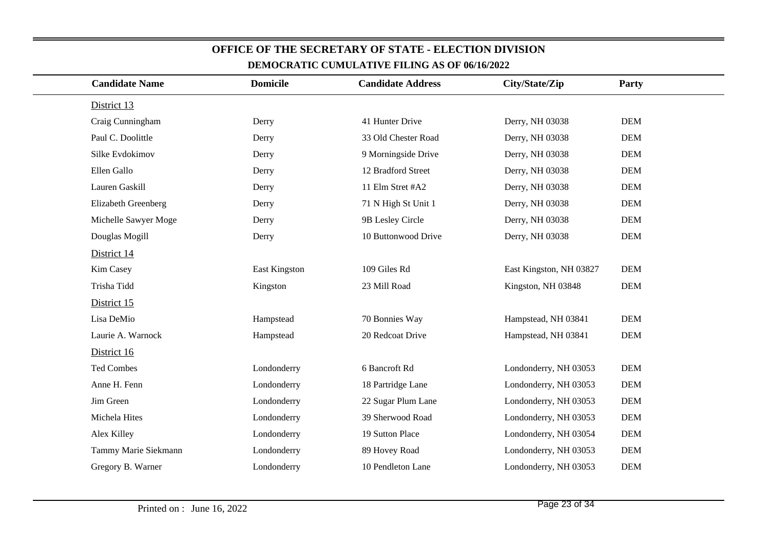| <b>Candidate Name</b> | <b>Domicile</b> | <b>Candidate Address</b> | City/State/Zip          | Party      |
|-----------------------|-----------------|--------------------------|-------------------------|------------|
| District 13           |                 |                          |                         |            |
| Craig Cunningham      | Derry           | 41 Hunter Drive          | Derry, NH 03038         | <b>DEM</b> |
| Paul C. Doolittle     | Derry           | 33 Old Chester Road      | Derry, NH 03038         | <b>DEM</b> |
| Silke Evdokimov       | Derry           | 9 Morningside Drive      | Derry, NH 03038         | <b>DEM</b> |
| Ellen Gallo           | Derry           | 12 Bradford Street       | Derry, NH 03038         | <b>DEM</b> |
| Lauren Gaskill        | Derry           | 11 Elm Stret #A2         | Derry, NH 03038         | <b>DEM</b> |
| Elizabeth Greenberg   | Derry           | 71 N High St Unit 1      | Derry, NH 03038         | <b>DEM</b> |
| Michelle Sawyer Moge  | Derry           | 9B Lesley Circle         | Derry, NH 03038         | <b>DEM</b> |
| Douglas Mogill        | Derry           | 10 Buttonwood Drive      | Derry, NH 03038         | <b>DEM</b> |
| District 14           |                 |                          |                         |            |
| Kim Casey             | East Kingston   | 109 Giles Rd             | East Kingston, NH 03827 | <b>DEM</b> |
| Trisha Tidd           | Kingston        | 23 Mill Road             | Kingston, NH 03848      | <b>DEM</b> |
| District 15           |                 |                          |                         |            |
| Lisa DeMio            | Hampstead       | 70 Bonnies Way           | Hampstead, NH 03841     | <b>DEM</b> |
| Laurie A. Warnock     | Hampstead       | 20 Redcoat Drive         | Hampstead, NH 03841     | <b>DEM</b> |
| District 16           |                 |                          |                         |            |
| Ted Combes            | Londonderry     | 6 Bancroft Rd            | Londonderry, NH 03053   | <b>DEM</b> |
| Anne H. Fenn          | Londonderry     | 18 Partridge Lane        | Londonderry, NH 03053   | <b>DEM</b> |
| Jim Green             | Londonderry     | 22 Sugar Plum Lane       | Londonderry, NH 03053   | <b>DEM</b> |
| Michela Hites         | Londonderry     | 39 Sherwood Road         | Londonderry, NH 03053   | <b>DEM</b> |
| Alex Killey           | Londonderry     | 19 Sutton Place          | Londonderry, NH 03054   | <b>DEM</b> |
| Tammy Marie Siekmann  | Londonderry     | 89 Hovey Road            | Londonderry, NH 03053   | <b>DEM</b> |
| Gregory B. Warner     | Londonderry     | 10 Pendleton Lane        | Londonderry, NH 03053   | <b>DEM</b> |
|                       |                 |                          |                         |            |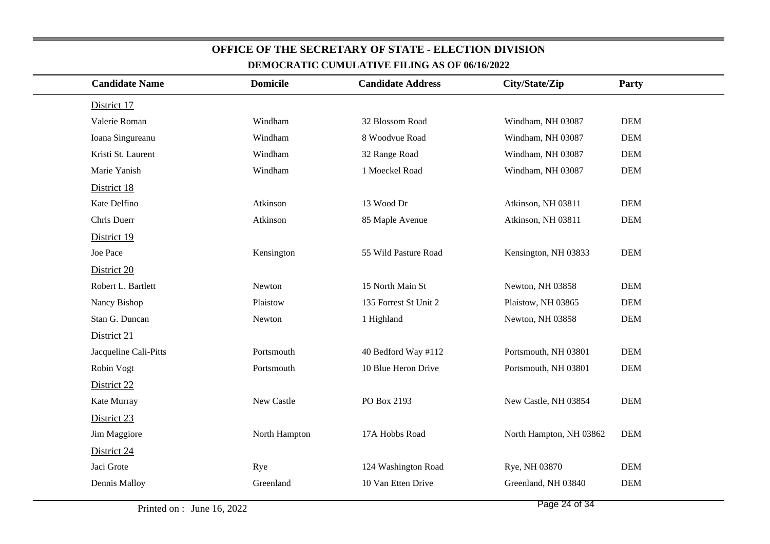| <b>Candidate Name</b> | <b>Domicile</b> | <b>Candidate Address</b> | City/State/Zip          | Party      |
|-----------------------|-----------------|--------------------------|-------------------------|------------|
| District 17           |                 |                          |                         |            |
| Valerie Roman         | Windham         | 32 Blossom Road          | Windham, NH 03087       | <b>DEM</b> |
| Ioana Singureanu      | Windham         | 8 Woodvue Road           | Windham, NH 03087       | <b>DEM</b> |
| Kristi St. Laurent    | Windham         | 32 Range Road            | Windham, NH 03087       | <b>DEM</b> |
| Marie Yanish          | Windham         | 1 Moeckel Road           | Windham, NH 03087       | <b>DEM</b> |
| District 18           |                 |                          |                         |            |
| Kate Delfino          | Atkinson        | 13 Wood Dr               | Atkinson, NH 03811      | <b>DEM</b> |
| Chris Duerr           | Atkinson        | 85 Maple Avenue          | Atkinson, NH 03811      | <b>DEM</b> |
| District 19           |                 |                          |                         |            |
| Joe Pace              | Kensington      | 55 Wild Pasture Road     | Kensington, NH 03833    | <b>DEM</b> |
| District 20           |                 |                          |                         |            |
| Robert L. Bartlett    | Newton          | 15 North Main St         | Newton, NH 03858        | <b>DEM</b> |
| Nancy Bishop          | Plaistow        | 135 Forrest St Unit 2    | Plaistow, NH 03865      | <b>DEM</b> |
| Stan G. Duncan        | Newton          | 1 Highland               | Newton, NH 03858        | <b>DEM</b> |
| District 21           |                 |                          |                         |            |
| Jacqueline Cali-Pitts | Portsmouth      | 40 Bedford Way #112      | Portsmouth, NH 03801    | <b>DEM</b> |
| Robin Vogt            | Portsmouth      | 10 Blue Heron Drive      | Portsmouth, NH 03801    | <b>DEM</b> |
| District 22           |                 |                          |                         |            |
| Kate Murray           | New Castle      | PO Box 2193              | New Castle, NH 03854    | <b>DEM</b> |
| District 23           |                 |                          |                         |            |
| Jim Maggiore          | North Hampton   | 17A Hobbs Road           | North Hampton, NH 03862 | <b>DEM</b> |
| District 24           |                 |                          |                         |            |
| Jaci Grote            | Rye             | 124 Washington Road      | Rye, NH 03870           | <b>DEM</b> |
| Dennis Malloy         | Greenland       | 10 Van Etten Drive       | Greenland, NH 03840     | <b>DEM</b> |
|                       |                 |                          |                         |            |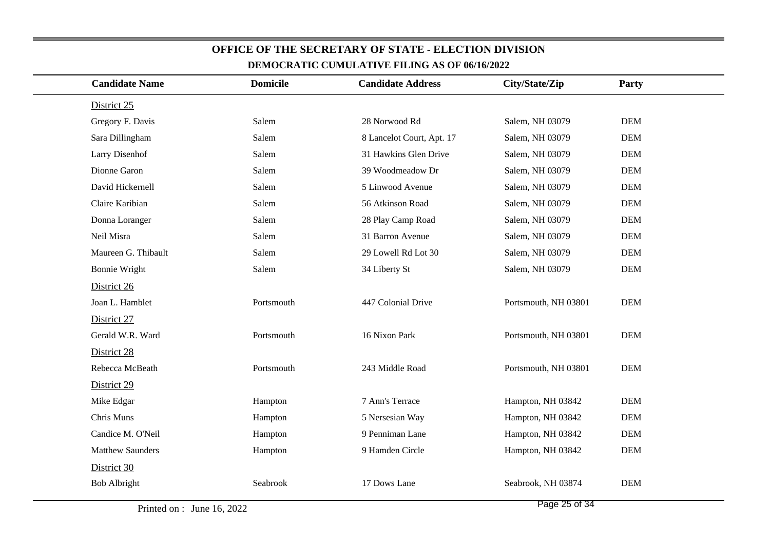| DEMOCKATIC COMOLATIVE FILMAN AS OF 00/10/2022 |                 |                           |                      |            |  |  |
|-----------------------------------------------|-----------------|---------------------------|----------------------|------------|--|--|
| <b>Candidate Name</b>                         | <b>Domicile</b> | <b>Candidate Address</b>  | City/State/Zip       | Party      |  |  |
| District 25                                   |                 |                           |                      |            |  |  |
| Gregory F. Davis                              | Salem           | 28 Norwood Rd             | Salem, NH 03079      | <b>DEM</b> |  |  |
| Sara Dillingham                               | Salem           | 8 Lancelot Court, Apt. 17 | Salem, NH 03079      | <b>DEM</b> |  |  |
| Larry Disenhof                                | Salem           | 31 Hawkins Glen Drive     | Salem, NH 03079      | <b>DEM</b> |  |  |
| Dionne Garon                                  | Salem           | 39 Woodmeadow Dr          | Salem, NH 03079      | <b>DEM</b> |  |  |
| David Hickernell                              | Salem           | 5 Linwood Avenue          | Salem, NH 03079      | <b>DEM</b> |  |  |
| Claire Karibian                               | Salem           | 56 Atkinson Road          | Salem, NH 03079      | <b>DEM</b> |  |  |
| Donna Loranger                                | Salem           | 28 Play Camp Road         | Salem, NH 03079      | <b>DEM</b> |  |  |
| Neil Misra                                    | Salem           | 31 Barron Avenue          | Salem, NH 03079      | <b>DEM</b> |  |  |
| Maureen G. Thibault                           | Salem           | 29 Lowell Rd Lot 30       | Salem, NH 03079      | <b>DEM</b> |  |  |
| <b>Bonnie Wright</b>                          | Salem           | 34 Liberty St             | Salem, NH 03079      | $DEM$      |  |  |
| District 26                                   |                 |                           |                      |            |  |  |
| Joan L. Hamblet                               | Portsmouth      | 447 Colonial Drive        | Portsmouth, NH 03801 | <b>DEM</b> |  |  |
| District 27                                   |                 |                           |                      |            |  |  |
| Gerald W.R. Ward                              | Portsmouth      | 16 Nixon Park             | Portsmouth, NH 03801 | <b>DEM</b> |  |  |
| District 28                                   |                 |                           |                      |            |  |  |
| Rebecca McBeath                               | Portsmouth      | 243 Middle Road           | Portsmouth, NH 03801 | <b>DEM</b> |  |  |
| District 29                                   |                 |                           |                      |            |  |  |
| Mike Edgar                                    | Hampton         | 7 Ann's Terrace           | Hampton, NH 03842    | <b>DEM</b> |  |  |
| Chris Muns                                    | Hampton         | 5 Nersesian Way           | Hampton, NH 03842    | <b>DEM</b> |  |  |
| Candice M. O'Neil                             | Hampton         | 9 Penniman Lane           | Hampton, NH 03842    | DEM        |  |  |
| <b>Matthew Saunders</b>                       | Hampton         | 9 Hamden Circle           | Hampton, NH 03842    | <b>DEM</b> |  |  |
| District 30                                   |                 |                           |                      |            |  |  |
| <b>Bob Albright</b>                           | Seabrook        | 17 Dows Lane              | Seabrook, NH 03874   | <b>DEM</b> |  |  |
|                                               |                 |                           |                      |            |  |  |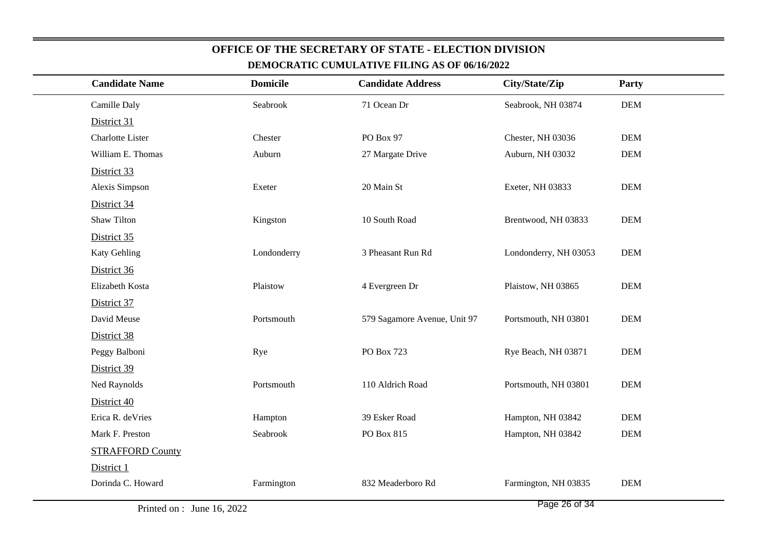| <b>Candidate Name</b>   | <b>Domicile</b> | <b>Candidate Address</b>     | City/State/Zip        | Party      |
|-------------------------|-----------------|------------------------------|-----------------------|------------|
| Camille Daly            | Seabrook        | 71 Ocean Dr                  | Seabrook, NH 03874    | $DEM$      |
| District 31             |                 |                              |                       |            |
| Charlotte Lister        | Chester         | PO Box 97                    | Chester, NH 03036     | <b>DEM</b> |
| William E. Thomas       | Auburn          | 27 Margate Drive             | Auburn, NH 03032      | <b>DEM</b> |
| District 33             |                 |                              |                       |            |
| Alexis Simpson          | Exeter          | 20 Main St                   | Exeter, NH 03833      | <b>DEM</b> |
| District 34             |                 |                              |                       |            |
| <b>Shaw Tilton</b>      | Kingston        | 10 South Road                | Brentwood, NH 03833   | <b>DEM</b> |
| District 35             |                 |                              |                       |            |
| Katy Gehling            | Londonderry     | 3 Pheasant Run Rd            | Londonderry, NH 03053 | <b>DEM</b> |
| District 36             |                 |                              |                       |            |
| Elizabeth Kosta         | Plaistow        | 4 Evergreen Dr               | Plaistow, NH 03865    | <b>DEM</b> |
| District 37             |                 |                              |                       |            |
| David Meuse             | Portsmouth      | 579 Sagamore Avenue, Unit 97 | Portsmouth, NH 03801  | <b>DEM</b> |
| District 38             |                 |                              |                       |            |
| Peggy Balboni           | Rye             | PO Box 723                   | Rye Beach, NH 03871   | <b>DEM</b> |
| District 39             |                 |                              |                       |            |
| Ned Raynolds            | Portsmouth      | 110 Aldrich Road             | Portsmouth, NH 03801  | <b>DEM</b> |
| District 40             |                 |                              |                       |            |
| Erica R. deVries        | Hampton         | 39 Esker Road                | Hampton, NH 03842     | <b>DEM</b> |
| Mark F. Preston         | Seabrook        | PO Box 815                   | Hampton, NH 03842     | <b>DEM</b> |
| <b>STRAFFORD County</b> |                 |                              |                       |            |
| District 1              |                 |                              |                       |            |
| Dorinda C. Howard       | Farmington      | 832 Meaderboro Rd            | Farmington, NH 03835  | <b>DEM</b> |
|                         |                 |                              |                       |            |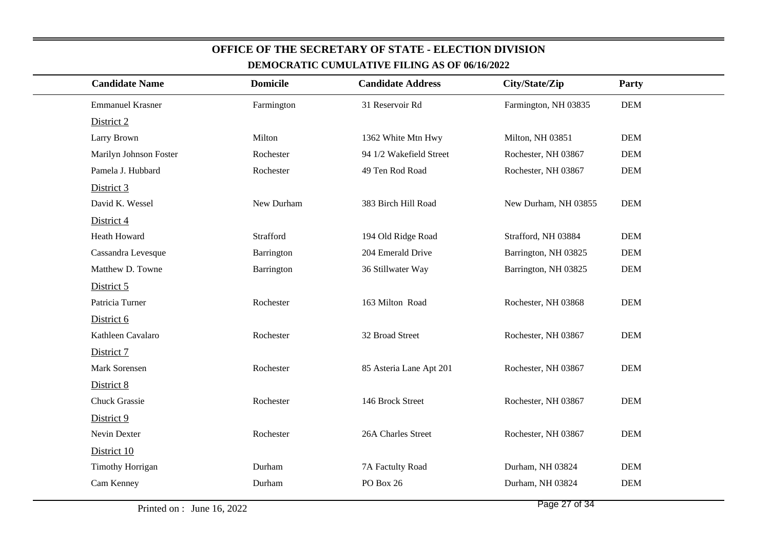| <b>Candidate Name</b>   | <b>Domicile</b> | <b>Candidate Address</b> | City/State/Zip       | <b>Party</b> |
|-------------------------|-----------------|--------------------------|----------------------|--------------|
| <b>Emmanuel Krasner</b> | Farmington      | 31 Reservoir Rd          | Farmington, NH 03835 | <b>DEM</b>   |
| District 2              |                 |                          |                      |              |
|                         |                 |                          |                      |              |
| Larry Brown             | Milton          | 1362 White Mtn Hwy       | Milton, NH 03851     | <b>DEM</b>   |
| Marilyn Johnson Foster  | Rochester       | 94 1/2 Wakefield Street  | Rochester, NH 03867  | <b>DEM</b>   |
| Pamela J. Hubbard       | Rochester       | 49 Ten Rod Road          | Rochester, NH 03867  | <b>DEM</b>   |
| District 3              |                 |                          |                      |              |
| David K. Wessel         | New Durham      | 383 Birch Hill Road      | New Durham, NH 03855 | <b>DEM</b>   |
| District 4              |                 |                          |                      |              |
| Heath Howard            | Strafford       | 194 Old Ridge Road       | Strafford, NH 03884  | <b>DEM</b>   |
| Cassandra Levesque      | Barrington      | 204 Emerald Drive        | Barrington, NH 03825 | <b>DEM</b>   |
| Matthew D. Towne        | Barrington      | 36 Stillwater Way        | Barrington, NH 03825 | <b>DEM</b>   |
| District 5              |                 |                          |                      |              |
| Patricia Turner         | Rochester       | 163 Milton Road          | Rochester, NH 03868  | <b>DEM</b>   |
| District 6              |                 |                          |                      |              |
| Kathleen Cavalaro       | Rochester       | 32 Broad Street          | Rochester, NH 03867  | <b>DEM</b>   |
| District 7              |                 |                          |                      |              |
| Mark Sorensen           | Rochester       | 85 Asteria Lane Apt 201  | Rochester, NH 03867  | <b>DEM</b>   |
| District 8              |                 |                          |                      |              |
| <b>Chuck Grassie</b>    | Rochester       | 146 Brock Street         | Rochester, NH 03867  | <b>DEM</b>   |
| District 9              |                 |                          |                      |              |
| Nevin Dexter            | Rochester       | 26A Charles Street       | Rochester, NH 03867  | <b>DEM</b>   |
| District 10             |                 |                          |                      |              |
| <b>Timothy Horrigan</b> | Durham          | 7A Factulty Road         | Durham, NH 03824     | <b>DEM</b>   |
| Cam Kenney              | Durham          | PO Box 26                | Durham, NH 03824     | <b>DEM</b>   |
|                         |                 |                          |                      |              |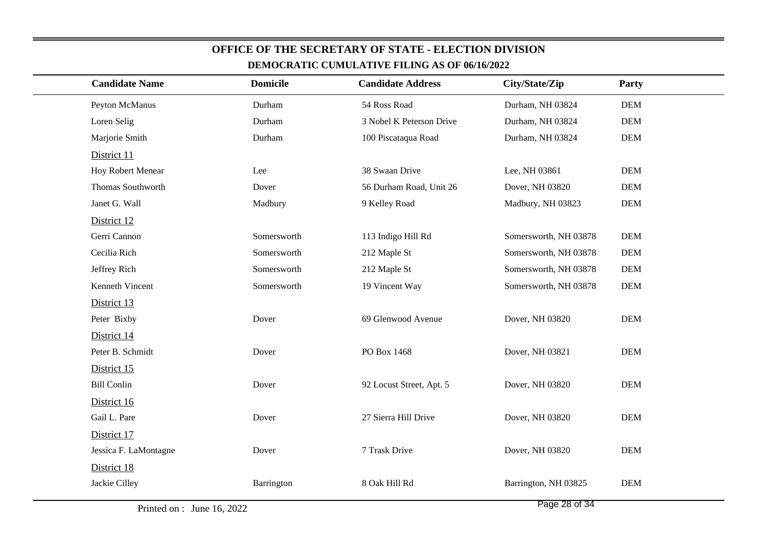| <b>Candidate Name</b>    | <b>Domicile</b> | <b>Candidate Address</b> | City/State/Zip        | Party      |
|--------------------------|-----------------|--------------------------|-----------------------|------------|
| Peyton McManus           | Durham          | 54 Ross Road             | Durham, NH 03824      | <b>DEM</b> |
| Loren Selig              | Durham          | 3 Nobel K Peterson Drive | Durham, NH 03824      | <b>DEM</b> |
| Marjorie Smith           | Durham          | 100 Piscataqua Road      | Durham, NH 03824      | <b>DEM</b> |
| District 11              |                 |                          |                       |            |
| <b>Hoy Robert Menear</b> | Lee             | 38 Swaan Drive           | Lee, NH 03861         | <b>DEM</b> |
| Thomas Southworth        | Dover           | 56 Durham Road, Unit 26  | Dover, NH 03820       | <b>DEM</b> |
| Janet G. Wall            | Madbury         | 9 Kelley Road            | Madbury, NH 03823     | $DEM$      |
| District 12              |                 |                          |                       |            |
| Gerri Cannon             | Somersworth     | 113 Indigo Hill Rd       | Somersworth, NH 03878 | <b>DEM</b> |
| Cecilia Rich             | Somersworth     | 212 Maple St             | Somersworth, NH 03878 | <b>DEM</b> |
| Jeffrey Rich             | Somersworth     | 212 Maple St             | Somersworth, NH 03878 | <b>DEM</b> |
| Kenneth Vincent          | Somersworth     | 19 Vincent Way           | Somersworth, NH 03878 | <b>DEM</b> |
| District 13              |                 |                          |                       |            |
| Peter Bixby              | Dover           | 69 Glenwood Avenue       | Dover, NH 03820       | <b>DEM</b> |
| District 14              |                 |                          |                       |            |
| Peter B. Schmidt         | Dover           | PO Box 1468              | Dover, NH 03821       | <b>DEM</b> |
| District 15              |                 |                          |                       |            |
| <b>Bill Conlin</b>       | Dover           | 92 Locust Street, Apt. 5 | Dover, NH 03820       | <b>DEM</b> |
| District 16              |                 |                          |                       |            |
| Gail L. Pare             | Dover           | 27 Sierra Hill Drive     | Dover, NH 03820       | <b>DEM</b> |
| District 17              |                 |                          |                       |            |
| Jessica F. LaMontagne    | Dover           | 7 Trask Drive            | Dover, NH 03820       | <b>DEM</b> |
| District 18              |                 |                          |                       |            |
| Jackie Cilley            | Barrington      | 8 Oak Hill Rd            | Barrington, NH 03825  | <b>DEM</b> |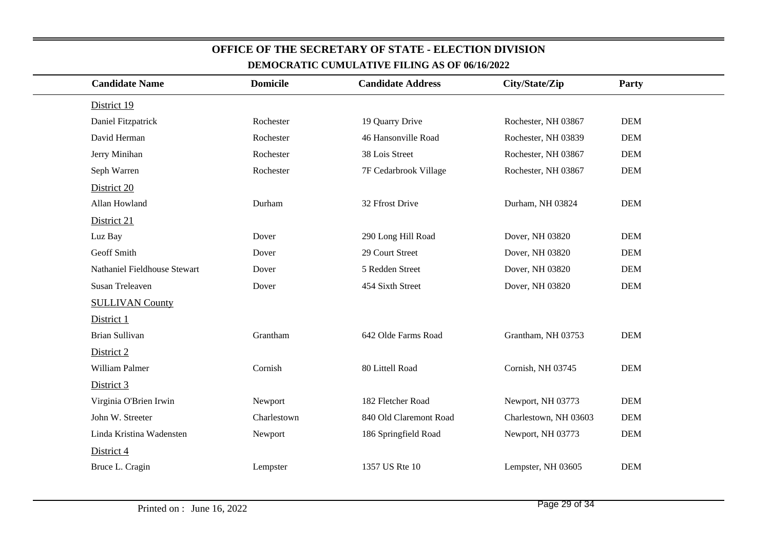| <b>Candidate Name</b>        | <b>Domicile</b> | <b>Candidate Address</b> | City/State/Zip        | Party      |
|------------------------------|-----------------|--------------------------|-----------------------|------------|
| District 19                  |                 |                          |                       |            |
| Daniel Fitzpatrick           | Rochester       | 19 Quarry Drive          | Rochester, NH 03867   | <b>DEM</b> |
| David Herman                 | Rochester       | 46 Hansonville Road      | Rochester, NH 03839   | <b>DEM</b> |
| Jerry Minihan                | Rochester       | 38 Lois Street           | Rochester, NH 03867   | <b>DEM</b> |
| Seph Warren                  | Rochester       | 7F Cedarbrook Village    | Rochester, NH 03867   | <b>DEM</b> |
| District 20                  |                 |                          |                       |            |
| Allan Howland                | Durham          | 32 Ffrost Drive          | Durham, NH 03824      | <b>DEM</b> |
| District 21                  |                 |                          |                       |            |
| Luz Bay                      | Dover           | 290 Long Hill Road       | Dover, NH 03820       | <b>DEM</b> |
| Geoff Smith                  | Dover           | 29 Court Street          | Dover, NH 03820       | <b>DEM</b> |
| Nathaniel Fieldhouse Stewart | Dover           | 5 Redden Street          | Dover, NH 03820       | <b>DEM</b> |
| <b>Susan Treleaven</b>       | Dover           | 454 Sixth Street         | Dover, NH 03820       | <b>DEM</b> |
| <b>SULLIVAN County</b>       |                 |                          |                       |            |
| District 1                   |                 |                          |                       |            |
| <b>Brian Sullivan</b>        | Grantham        | 642 Olde Farms Road      | Grantham, NH 03753    | <b>DEM</b> |
| District 2                   |                 |                          |                       |            |
| William Palmer               | Cornish         | 80 Littell Road          | Cornish, NH 03745     | <b>DEM</b> |
| District 3                   |                 |                          |                       |            |
| Virginia O'Brien Irwin       | Newport         | 182 Fletcher Road        | Newport, NH 03773     | <b>DEM</b> |
| John W. Streeter             | Charlestown     | 840 Old Claremont Road   | Charlestown, NH 03603 | <b>DEM</b> |
| Linda Kristina Wadensten     | Newport         | 186 Springfield Road     | Newport, NH 03773     | <b>DEM</b> |
| District 4                   |                 |                          |                       |            |
| Bruce L. Cragin              | Lempster        | 1357 US Rte 10           | Lempster, NH 03605    | <b>DEM</b> |
|                              |                 |                          |                       |            |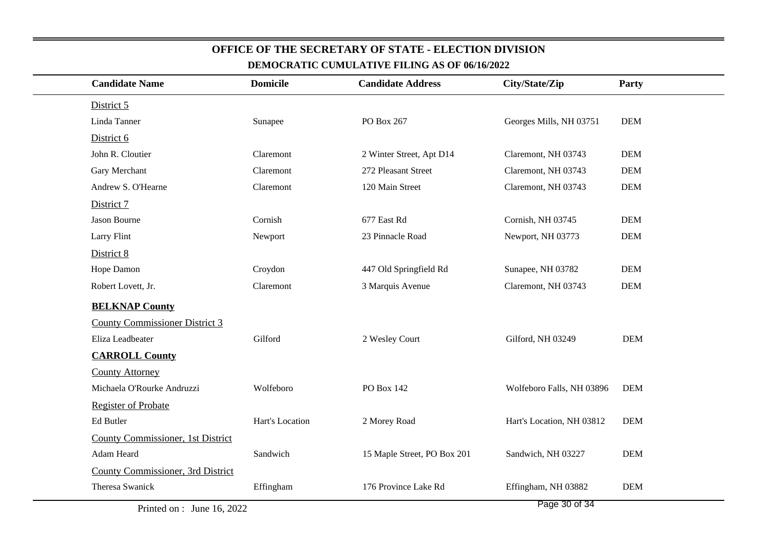| <b>Candidate Name</b>                 | <b>Domicile</b> | <b>Candidate Address</b>    | City/State/Zip            | Party      |
|---------------------------------------|-----------------|-----------------------------|---------------------------|------------|
| District 5                            |                 |                             |                           |            |
| Linda Tanner                          | Sunapee         | PO Box 267                  | Georges Mills, NH 03751   | <b>DEM</b> |
| District 6                            |                 |                             |                           |            |
| John R. Cloutier                      | Claremont       | 2 Winter Street, Apt D14    | Claremont, NH 03743       | <b>DEM</b> |
| Gary Merchant                         | Claremont       | 272 Pleasant Street         | Claremont, NH 03743       | <b>DEM</b> |
| Andrew S. O'Hearne                    | Claremont       | 120 Main Street             | Claremont, NH 03743       | <b>DEM</b> |
| District 7                            |                 |                             |                           |            |
| Jason Bourne                          | Cornish         | 677 East Rd                 | Cornish, NH 03745         | <b>DEM</b> |
| <b>Larry Flint</b>                    | Newport         | 23 Pinnacle Road            | Newport, NH 03773         | <b>DEM</b> |
| District 8                            |                 |                             |                           |            |
| Hope Damon                            | Croydon         | 447 Old Springfield Rd      | Sunapee, NH 03782         | <b>DEM</b> |
| Robert Lovett, Jr.                    | Claremont       | 3 Marquis Avenue            | Claremont, NH 03743       | <b>DEM</b> |
| <b>BELKNAP County</b>                 |                 |                             |                           |            |
| <b>County Commissioner District 3</b> |                 |                             |                           |            |
| Eliza Leadbeater                      | Gilford         | 2 Wesley Court              | Gilford, NH 03249         | <b>DEM</b> |
| <b>CARROLL County</b>                 |                 |                             |                           |            |
| <b>County Attorney</b>                |                 |                             |                           |            |
| Michaela O'Rourke Andruzzi            | Wolfeboro       | PO Box 142                  | Wolfeboro Falls, NH 03896 | <b>DEM</b> |
| <b>Register of Probate</b>            |                 |                             |                           |            |
| Ed Butler                             | Hart's Location | 2 Morey Road                | Hart's Location, NH 03812 | <b>DEM</b> |
| County Commissioner, 1st District     |                 |                             |                           |            |
| Adam Heard                            | Sandwich        | 15 Maple Street, PO Box 201 | Sandwich, NH 03227        | <b>DEM</b> |
|                                       |                 |                             |                           |            |
| County Commissioner, 3rd District     |                 |                             |                           |            |

Printed on : June 16, 2022

Page 30 of 34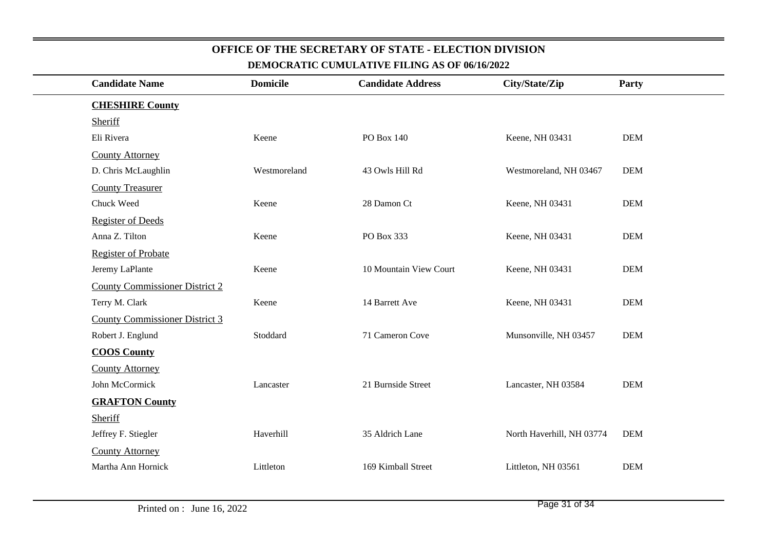#### **CHESHIRE County**SheriffEli RiveraKeene PO Box 140 Keene, NH 03431 DEM County AttorneyD. Chris McLaughlinWestmoreland 43 Owls Hill Rd Westmoreland, NH 03467 DEM County TreasurerChuck Weedd Keene 28 Damon Ct Keene, NH 03431 DEM Register of DeedsAnna Z. Tiltonn Keene PO Box 333 Keene, NH 03431 DEM Register of ProbateJeremy LaPlanteKeene 10 Mountain View Court Keene, NH 03431 DEMCounty Commissioner District 2Terry M. Clarkk Keene 14 Barrett Ave Keene, NH 03431 DEM County Commissioner District 3Robert J. Englund Stoddard 71 Cameron Cove Munsonville, NH 03457 DEM**COOS County**County AttorneyJohn McCormick Lancaster 21 Burnside Street Lancaster, NH 03584 DEM**GRAFTON County**SheriffJeffrey F. Stiegler Haverhill 35 Aldrich Lane North Haverhill, NH 03774 DEMCounty AttorneyMartha Ann Hornick Littleton 169 Kimball Street Littleton, NH 03561 DEM**Candidate NameDEMOCRATIC CUMULATIVE FILING AS OF 06/16/2022Domicile Candidate Address City/State/ZipParty**

**OFFICE OF THE SECRETARY OF STATE - ELECTION DIVISION**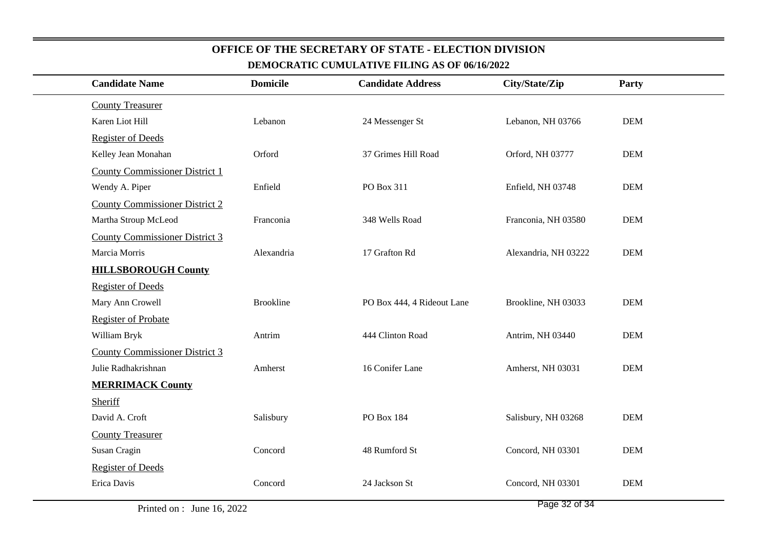| <b>Candidate Name</b>                 | <b>Domicile</b>  | <b>Candidate Address</b>   | City/State/Zip       | Party      |
|---------------------------------------|------------------|----------------------------|----------------------|------------|
| <b>County Treasurer</b>               |                  |                            |                      |            |
| Karen Liot Hill                       | Lebanon          | 24 Messenger St            | Lebanon, NH 03766    | <b>DEM</b> |
| <b>Register of Deeds</b>              |                  |                            |                      |            |
| Kelley Jean Monahan                   | Orford           | 37 Grimes Hill Road        | Orford, NH 03777     | <b>DEM</b> |
| <b>County Commissioner District 1</b> |                  |                            |                      |            |
| Wendy A. Piper                        | Enfield          | PO Box 311                 | Enfield, NH 03748    | <b>DEM</b> |
| <b>County Commissioner District 2</b> |                  |                            |                      |            |
| Martha Stroup McLeod                  | Franconia        | 348 Wells Road             | Franconia, NH 03580  | <b>DEM</b> |
| <b>County Commissioner District 3</b> |                  |                            |                      |            |
| Marcia Morris                         | Alexandria       | 17 Grafton Rd              | Alexandria, NH 03222 | <b>DEM</b> |
| <b>HILLSBOROUGH County</b>            |                  |                            |                      |            |
| <b>Register of Deeds</b>              |                  |                            |                      |            |
| Mary Ann Crowell                      | <b>Brookline</b> | PO Box 444, 4 Rideout Lane | Brookline, NH 03033  | <b>DEM</b> |
| <b>Register of Probate</b>            |                  |                            |                      |            |
| William Bryk                          | Antrim           | 444 Clinton Road           | Antrim, NH 03440     | <b>DEM</b> |
| <b>County Commissioner District 3</b> |                  |                            |                      |            |
| Julie Radhakrishnan                   | Amherst          | 16 Conifer Lane            | Amherst, NH 03031    | <b>DEM</b> |
| <b>MERRIMACK County</b>               |                  |                            |                      |            |
| Sheriff                               |                  |                            |                      |            |
| David A. Croft                        | Salisbury        | PO Box 184                 | Salisbury, NH 03268  | <b>DEM</b> |
| <b>County Treasurer</b>               |                  |                            |                      |            |
| Susan Cragin                          | Concord          | 48 Rumford St              | Concord, NH 03301    | <b>DEM</b> |
| <b>Register of Deeds</b>              |                  |                            |                      |            |
| Erica Davis                           | Concord          | 24 Jackson St              | Concord, NH 03301    | <b>DEM</b> |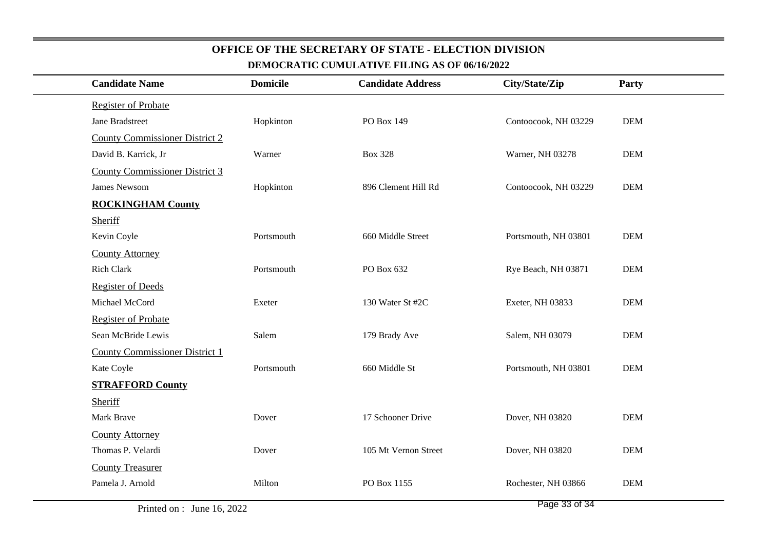| <b>Candidate Name</b>                 | <b>Domicile</b> | <b>Candidate Address</b> | City/State/Zip       | Party      |
|---------------------------------------|-----------------|--------------------------|----------------------|------------|
| <b>Register of Probate</b>            |                 |                          |                      |            |
| Jane Bradstreet                       | Hopkinton       | PO Box 149               | Contoocook, NH 03229 | <b>DEM</b> |
| <b>County Commissioner District 2</b> |                 |                          |                      |            |
| David B. Karrick, Jr                  | Warner          | <b>Box 328</b>           | Warner, NH 03278     | <b>DEM</b> |
| <b>County Commissioner District 3</b> |                 |                          |                      |            |
| James Newsom                          | Hopkinton       | 896 Clement Hill Rd      | Contoocook, NH 03229 | <b>DEM</b> |
| <b>ROCKINGHAM County</b>              |                 |                          |                      |            |
| Sheriff                               |                 |                          |                      |            |
| Kevin Coyle                           | Portsmouth      | 660 Middle Street        | Portsmouth, NH 03801 | <b>DEM</b> |
| <b>County Attorney</b>                |                 |                          |                      |            |
| <b>Rich Clark</b>                     | Portsmouth      | PO Box 632               | Rye Beach, NH 03871  | <b>DEM</b> |
| <b>Register of Deeds</b>              |                 |                          |                      |            |
| Michael McCord                        | Exeter          | 130 Water St #2C         | Exeter, NH 03833     | <b>DEM</b> |
| <b>Register of Probate</b>            |                 |                          |                      |            |
| Sean McBride Lewis                    | Salem           | 179 Brady Ave            | Salem, NH 03079      | <b>DEM</b> |
| <b>County Commissioner District 1</b> |                 |                          |                      |            |
| Kate Coyle                            | Portsmouth      | 660 Middle St            | Portsmouth, NH 03801 | <b>DEM</b> |
| <b>STRAFFORD County</b>               |                 |                          |                      |            |
| Sheriff                               |                 |                          |                      |            |
| Mark Brave                            | Dover           | 17 Schooner Drive        | Dover, NH 03820      | <b>DEM</b> |
| <b>County Attorney</b>                |                 |                          |                      |            |
| Thomas P. Velardi                     | Dover           | 105 Mt Vernon Street     | Dover, NH 03820      | <b>DEM</b> |
| <b>County Treasurer</b>               |                 |                          |                      |            |
| Pamela J. Arnold                      | Milton          | PO Box 1155              | Rochester, NH 03866  | <b>DEM</b> |
|                                       |                 |                          |                      |            |